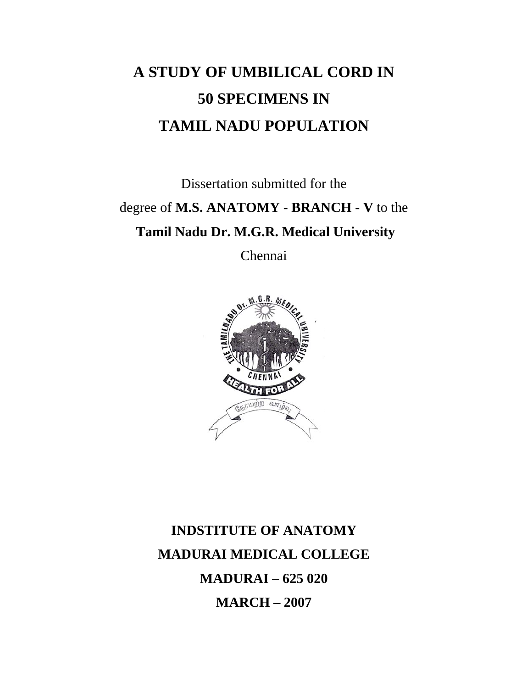# **A STUDY OF UMBILICAL CORD IN 50 SPECIMENS IN TAMIL NADU POPULATION**

Dissertation submitted for the degree of **M.S. ANATOMY - BRANCH - V** to the **Tamil Nadu Dr. M.G.R. Medical University** 

Chennai



## **INDSTITUTE OF ANATOMY MADURAI MEDICAL COLLEGE MADURAI – 625 020 MARCH – 2007**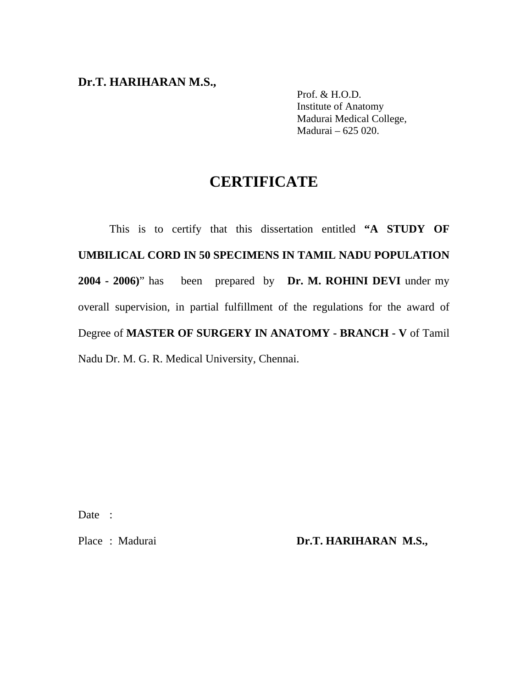#### **Dr.T. HARIHARAN M.S.,**

 Prof. & H.O.D. Institute of Anatomy Madurai Medical College, Madurai – 625 020.

## **CERTIFICATE**

 This is to certify that this dissertation entitled **"A STUDY OF UMBILICAL CORD IN 50 SPECIMENS IN TAMIL NADU POPULATION 2004 - 2006)**" has been prepared by **Dr. M. ROHINI DEVI** under my overall supervision, in partial fulfillment of the regulations for the award of Degree of **MASTER OF SURGERY IN ANATOMY - BRANCH - V** of Tamil Nadu Dr. M. G. R. Medical University, Chennai.

Date :

Place : Madurai **Dr.T. HARIHARAN M.S.,**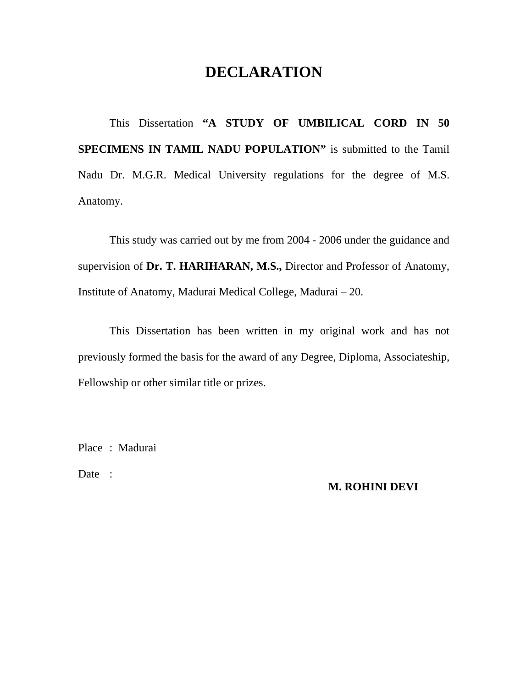## **DECLARATION**

 This Dissertation **"A STUDY OF UMBILICAL CORD IN 50 SPECIMENS IN TAMIL NADU POPULATION"** is submitted to the Tamil Nadu Dr. M.G.R. Medical University regulations for the degree of M.S. Anatomy.

 This study was carried out by me from 2004 - 2006 under the guidance and supervision of **Dr. T. HARIHARAN, M.S.,** Director and Professor of Anatomy, Institute of Anatomy, Madurai Medical College, Madurai – 20.

 This Dissertation has been written in my original work and has not previously formed the basis for the award of any Degree, Diploma, Associateship, Fellowship or other similar title or prizes.

Place : Madurai

Date :

#### **M. ROHINI DEVI**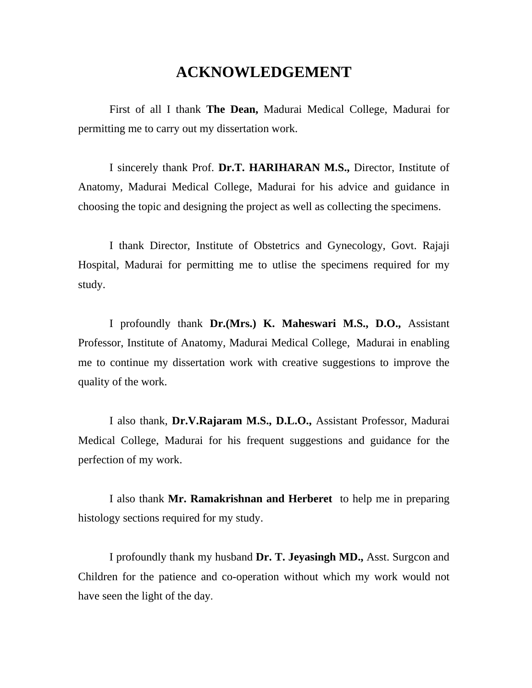## **ACKNOWLEDGEMENT**

 First of all I thank **The Dean,** Madurai Medical College, Madurai for permitting me to carry out my dissertation work.

 I sincerely thank Prof. **Dr.T. HARIHARAN M.S.,** Director, Institute of Anatomy, Madurai Medical College, Madurai for his advice and guidance in choosing the topic and designing the project as well as collecting the specimens.

I thank Director, Institute of Obstetrics and Gynecology, Govt. Rajaji Hospital, Madurai for permitting me to utlise the specimens required for my study.

 I profoundly thank **Dr.(Mrs.) K. Maheswari M.S., D.O.,** Assistant Professor, Institute of Anatomy, Madurai Medical College, Madurai in enabling me to continue my dissertation work with creative suggestions to improve the quality of the work.

 I also thank, **Dr.V.Rajaram M.S., D.L.O.,** Assistant Professor, Madurai Medical College, Madurai for his frequent suggestions and guidance for the perfection of my work.

 I also thank **Mr. Ramakrishnan and Herberet** to help me in preparing histology sections required for my study.

I profoundly thank my husband **Dr. T. Jeyasingh MD.,** Asst. Surgcon and Children for the patience and co-operation without which my work would not have seen the light of the day.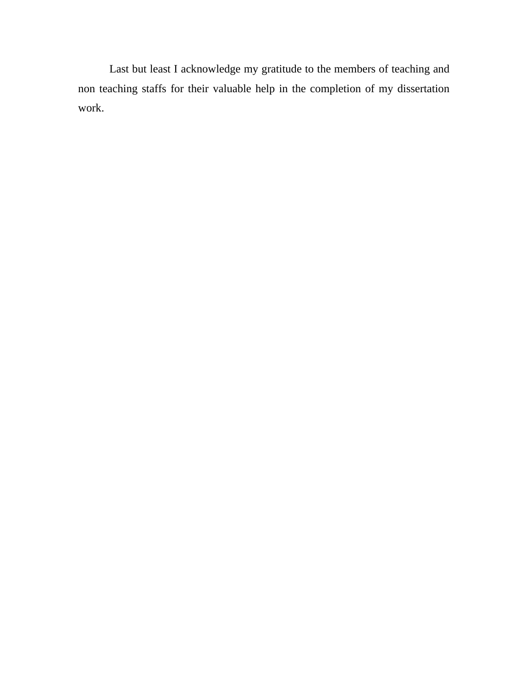Last but least I acknowledge my gratitude to the members of teaching and non teaching staffs for their valuable help in the completion of my dissertation work.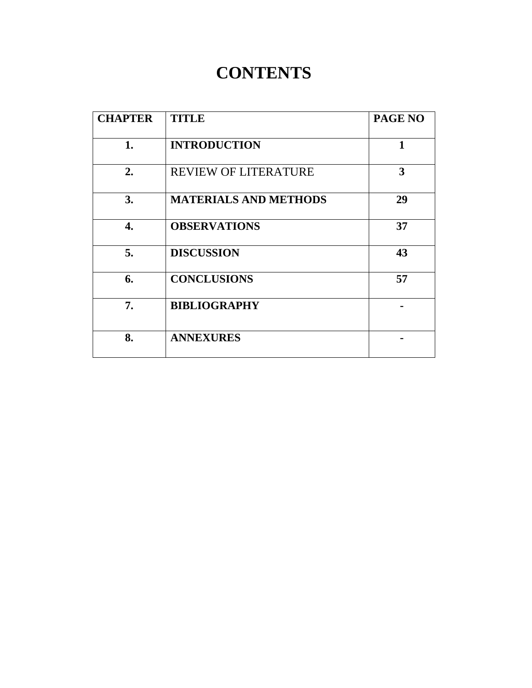## **CONTENTS**

| <b>CHAPTER</b> | <b>TITLE</b>                 | PAGE NO |
|----------------|------------------------------|---------|
| 1.             | <b>INTRODUCTION</b>          | 1       |
| 2.             | <b>REVIEW OF LITERATURE</b>  | 3       |
| 3.             | <b>MATERIALS AND METHODS</b> | 29      |
| 4.             | <b>OBSERVATIONS</b>          | 37      |
| 5.             | <b>DISCUSSION</b>            | 43      |
| 6.             | <b>CONCLUSIONS</b>           | 57      |
| 7.             | <b>BIBLIOGRAPHY</b>          |         |
| 8.             | <b>ANNEXURES</b>             |         |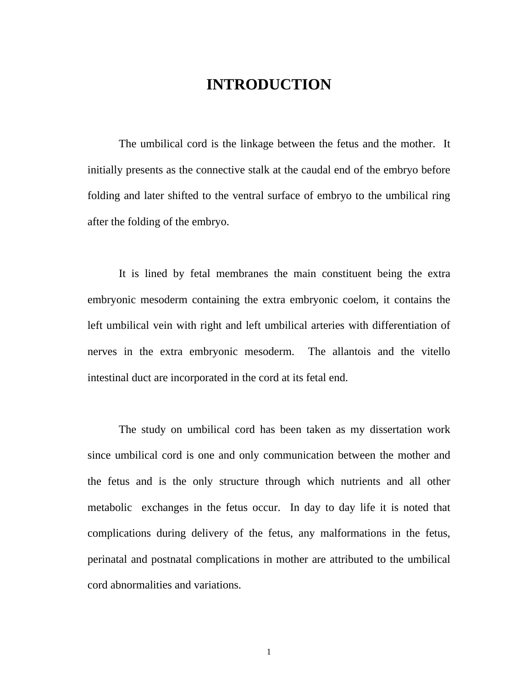## **INTRODUCTION**

 The umbilical cord is the linkage between the fetus and the mother. It initially presents as the connective stalk at the caudal end of the embryo before folding and later shifted to the ventral surface of embryo to the umbilical ring after the folding of the embryo.

 It is lined by fetal membranes the main constituent being the extra embryonic mesoderm containing the extra embryonic coelom, it contains the left umbilical vein with right and left umbilical arteries with differentiation of nerves in the extra embryonic mesoderm. The allantois and the vitello intestinal duct are incorporated in the cord at its fetal end.

 The study on umbilical cord has been taken as my dissertation work since umbilical cord is one and only communication between the mother and the fetus and is the only structure through which nutrients and all other metabolic exchanges in the fetus occur. In day to day life it is noted that complications during delivery of the fetus, any malformations in the fetus, perinatal and postnatal complications in mother are attributed to the umbilical cord abnormalities and variations.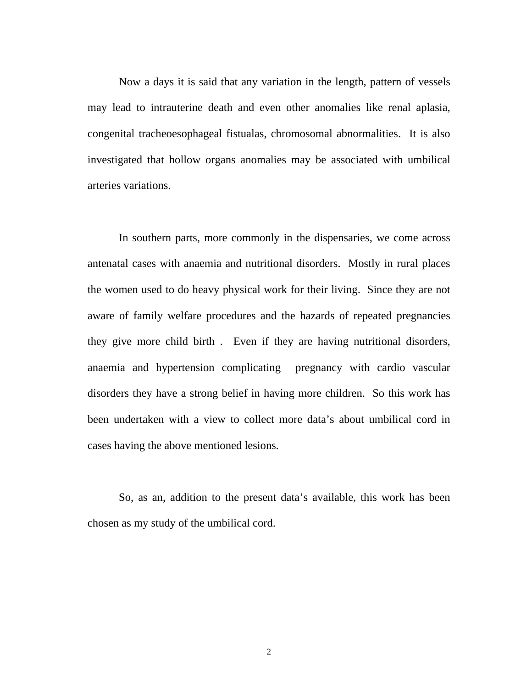Now a days it is said that any variation in the length, pattern of vessels may lead to intrauterine death and even other anomalies like renal aplasia, congenital tracheoesophageal fistualas, chromosomal abnormalities. It is also investigated that hollow organs anomalies may be associated with umbilical arteries variations.

In southern parts, more commonly in the dispensaries, we come across antenatal cases with anaemia and nutritional disorders. Mostly in rural places the women used to do heavy physical work for their living. Since they are not aware of family welfare procedures and the hazards of repeated pregnancies they give more child birth . Even if they are having nutritional disorders, anaemia and hypertension complicating pregnancy with cardio vascular disorders they have a strong belief in having more children. So this work has been undertaken with a view to collect more data's about umbilical cord in cases having the above mentioned lesions.

So, as an, addition to the present data's available, this work has been chosen as my study of the umbilical cord.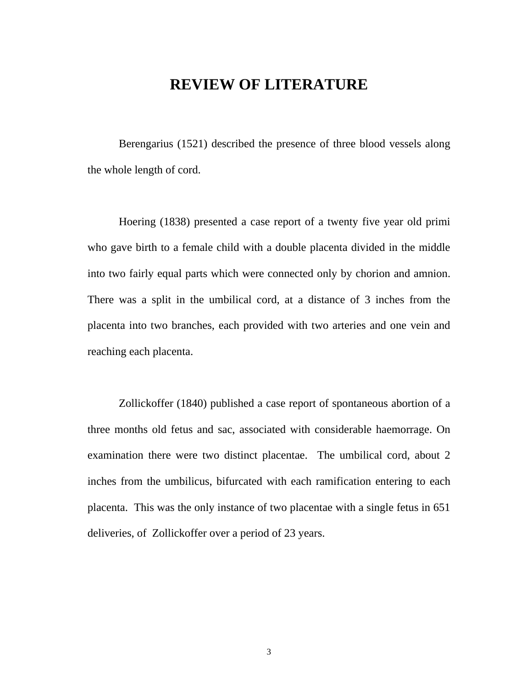### **REVIEW OF LITERATURE**

Berengarius (1521) described the presence of three blood vessels along the whole length of cord.

 Hoering (1838) presented a case report of a twenty five year old primi who gave birth to a female child with a double placenta divided in the middle into two fairly equal parts which were connected only by chorion and amnion. There was a split in the umbilical cord, at a distance of 3 inches from the placenta into two branches, each provided with two arteries and one vein and reaching each placenta.

 Zollickoffer (1840) published a case report of spontaneous abortion of a three months old fetus and sac, associated with considerable haemorrage. On examination there were two distinct placentae. The umbilical cord, about 2 inches from the umbilicus, bifurcated with each ramification entering to each placenta. This was the only instance of two placentae with a single fetus in 651 deliveries, of Zollickoffer over a period of 23 years.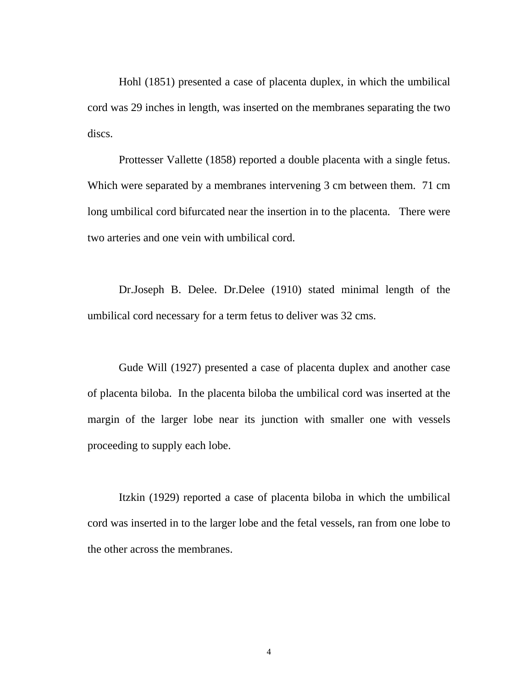Hohl (1851) presented a case of placenta duplex, in which the umbilical cord was 29 inches in length, was inserted on the membranes separating the two discs.

 Prottesser Vallette (1858) reported a double placenta with a single fetus. Which were separated by a membranes intervening 3 cm between them. 71 cm long umbilical cord bifurcated near the insertion in to the placenta. There were two arteries and one vein with umbilical cord.

Dr.Joseph B. Delee. Dr.Delee (1910) stated minimal length of the umbilical cord necessary for a term fetus to deliver was 32 cms.

 Gude Will (1927) presented a case of placenta duplex and another case of placenta biloba. In the placenta biloba the umbilical cord was inserted at the margin of the larger lobe near its junction with smaller one with vessels proceeding to supply each lobe.

Itzkin (1929) reported a case of placenta biloba in which the umbilical cord was inserted in to the larger lobe and the fetal vessels, ran from one lobe to the other across the membranes.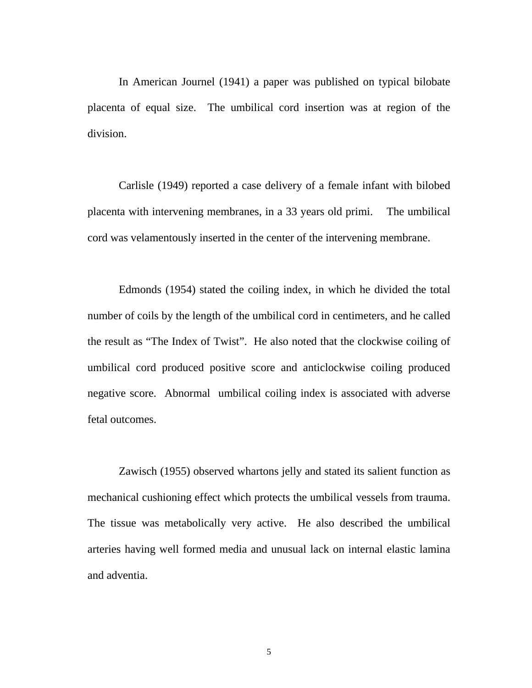In American Journel (1941) a paper was published on typical bilobate placenta of equal size. The umbilical cord insertion was at region of the division.

Carlisle (1949) reported a case delivery of a female infant with bilobed placenta with intervening membranes, in a 33 years old primi. The umbilical cord was velamentously inserted in the center of the intervening membrane.

 Edmonds (1954) stated the coiling index, in which he divided the total number of coils by the length of the umbilical cord in centimeters, and he called the result as "The Index of Twist". He also noted that the clockwise coiling of umbilical cord produced positive score and anticlockwise coiling produced negative score. Abnormal umbilical coiling index is associated with adverse fetal outcomes.

Zawisch (1955) observed whartons jelly and stated its salient function as mechanical cushioning effect which protects the umbilical vessels from trauma. The tissue was metabolically very active. He also described the umbilical arteries having well formed media and unusual lack on internal elastic lamina and adventia.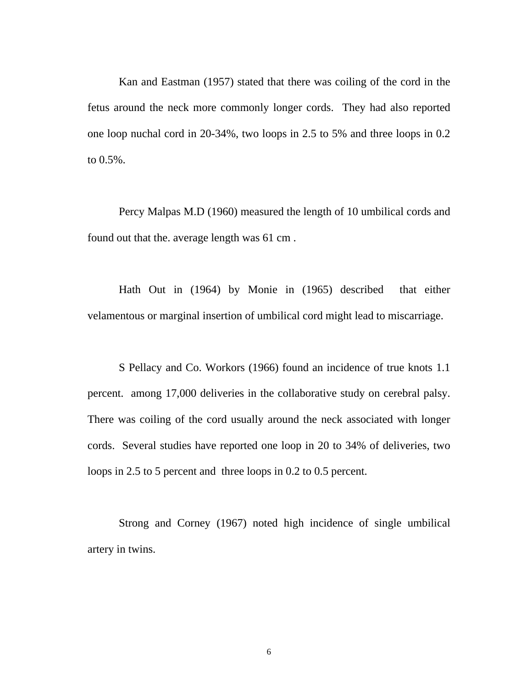Kan and Eastman (1957) stated that there was coiling of the cord in the fetus around the neck more commonly longer cords. They had also reported one loop nuchal cord in 20-34%, two loops in 2.5 to 5% and three loops in 0.2 to 0.5%.

Percy Malpas M.D (1960) measured the length of 10 umbilical cords and found out that the. average length was 61 cm .

Hath Out in (1964) by Monie in (1965) described that either velamentous or marginal insertion of umbilical cord might lead to miscarriage.

S Pellacy and Co. Workors (1966) found an incidence of true knots 1.1 percent. among 17,000 deliveries in the collaborative study on cerebral palsy. There was coiling of the cord usually around the neck associated with longer cords. Several studies have reported one loop in 20 to 34% of deliveries, two loops in 2.5 to 5 percent and three loops in 0.2 to 0.5 percent.

Strong and Corney (1967) noted high incidence of single umbilical artery in twins.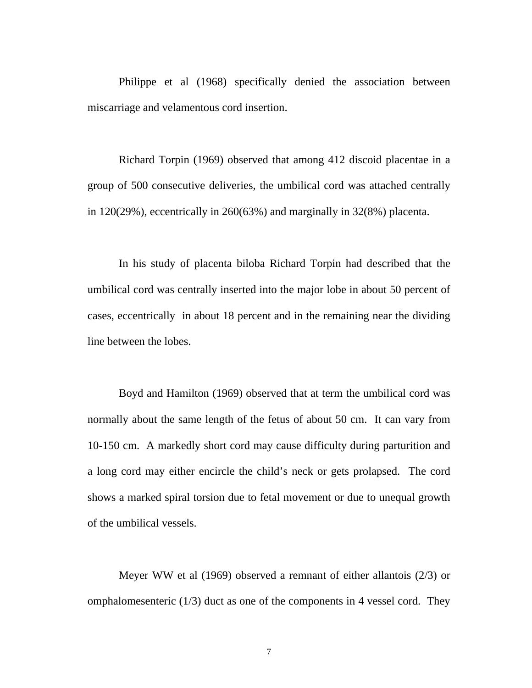Philippe et al (1968) specifically denied the association between miscarriage and velamentous cord insertion.

Richard Torpin (1969) observed that among 412 discoid placentae in a group of 500 consecutive deliveries, the umbilical cord was attached centrally in 120(29%), eccentrically in 260(63%) and marginally in 32(8%) placenta.

In his study of placenta biloba Richard Torpin had described that the umbilical cord was centrally inserted into the major lobe in about 50 percent of cases, eccentrically in about 18 percent and in the remaining near the dividing line between the lobes.

Boyd and Hamilton (1969) observed that at term the umbilical cord was normally about the same length of the fetus of about 50 cm. It can vary from 10-150 cm. A markedly short cord may cause difficulty during parturition and a long cord may either encircle the child's neck or gets prolapsed. The cord shows a marked spiral torsion due to fetal movement or due to unequal growth of the umbilical vessels.

Meyer WW et al (1969) observed a remnant of either allantois (2/3) or omphalomesenteric  $(1/3)$  duct as one of the components in 4 vessel cord. They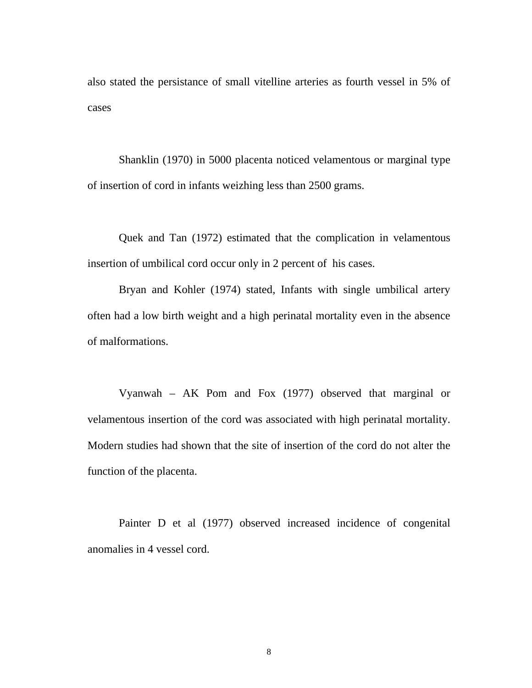also stated the persistance of small vitelline arteries as fourth vessel in 5% of cases

Shanklin (1970) in 5000 placenta noticed velamentous or marginal type of insertion of cord in infants weizhing less than 2500 grams.

Quek and Tan (1972) estimated that the complication in velamentous insertion of umbilical cord occur only in 2 percent of his cases.

Bryan and Kohler (1974) stated, Infants with single umbilical artery often had a low birth weight and a high perinatal mortality even in the absence of malformations.

Vyanwah – AK Pom and Fox (1977) observed that marginal or velamentous insertion of the cord was associated with high perinatal mortality. Modern studies had shown that the site of insertion of the cord do not alter the function of the placenta.

Painter D et al (1977) observed increased incidence of congenital anomalies in 4 vessel cord.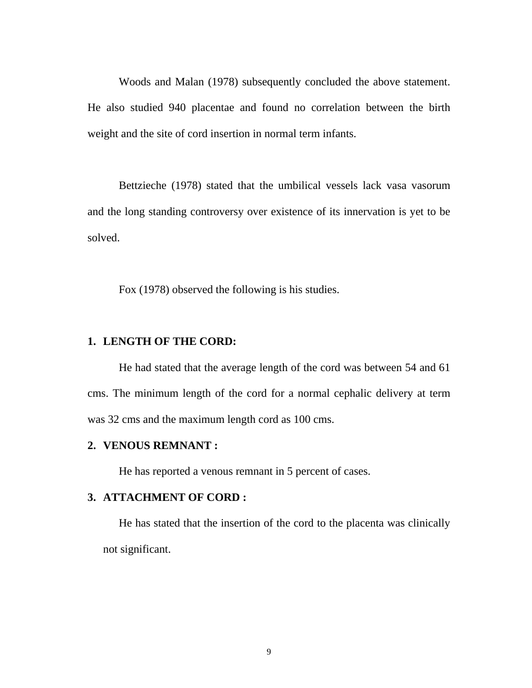Woods and Malan (1978) subsequently concluded the above statement. He also studied 940 placentae and found no correlation between the birth weight and the site of cord insertion in normal term infants.

Bettzieche (1978) stated that the umbilical vessels lack vasa vasorum and the long standing controversy over existence of its innervation is yet to be solved.

Fox (1978) observed the following is his studies.

#### **1. LENGTH OF THE CORD:**

He had stated that the average length of the cord was between 54 and 61 cms. The minimum length of the cord for a normal cephalic delivery at term was 32 cms and the maximum length cord as 100 cms.

#### **2. VENOUS REMNANT :**

He has reported a venous remnant in 5 percent of cases.

#### **3. ATTACHMENT OF CORD :**

He has stated that the insertion of the cord to the placenta was clinically not significant.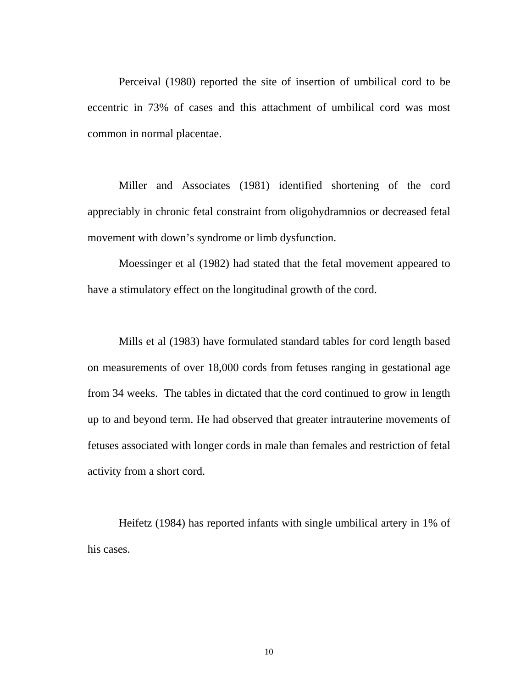Perceival (1980) reported the site of insertion of umbilical cord to be eccentric in 73% of cases and this attachment of umbilical cord was most common in normal placentae.

Miller and Associates (1981) identified shortening of the cord appreciably in chronic fetal constraint from oligohydramnios or decreased fetal movement with down's syndrome or limb dysfunction.

Moessinger et al (1982) had stated that the fetal movement appeared to have a stimulatory effect on the longitudinal growth of the cord.

Mills et al (1983) have formulated standard tables for cord length based on measurements of over 18,000 cords from fetuses ranging in gestational age from 34 weeks. The tables in dictated that the cord continued to grow in length up to and beyond term. He had observed that greater intrauterine movements of fetuses associated with longer cords in male than females and restriction of fetal activity from a short cord.

Heifetz (1984) has reported infants with single umbilical artery in 1% of his cases.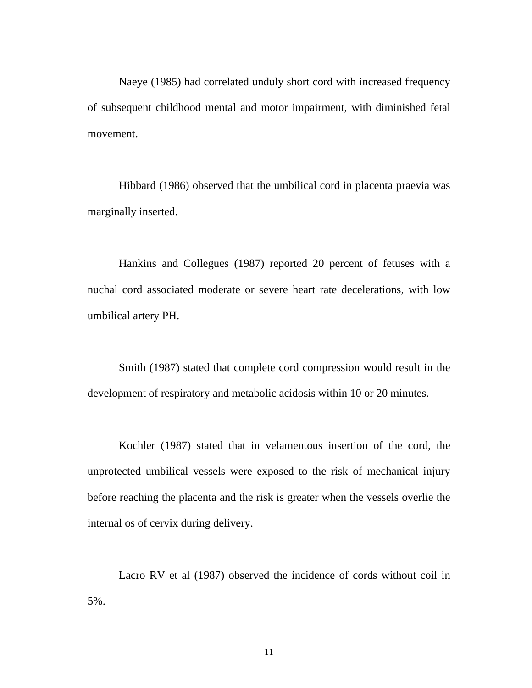Naeye (1985) had correlated unduly short cord with increased frequency of subsequent childhood mental and motor impairment, with diminished fetal movement.

Hibbard (1986) observed that the umbilical cord in placenta praevia was marginally inserted.

Hankins and Collegues (1987) reported 20 percent of fetuses with a nuchal cord associated moderate or severe heart rate decelerations, with low umbilical artery PH.

Smith (1987) stated that complete cord compression would result in the development of respiratory and metabolic acidosis within 10 or 20 minutes.

Kochler (1987) stated that in velamentous insertion of the cord, the unprotected umbilical vessels were exposed to the risk of mechanical injury before reaching the placenta and the risk is greater when the vessels overlie the internal os of cervix during delivery.

Lacro RV et al (1987) observed the incidence of cords without coil in 5%.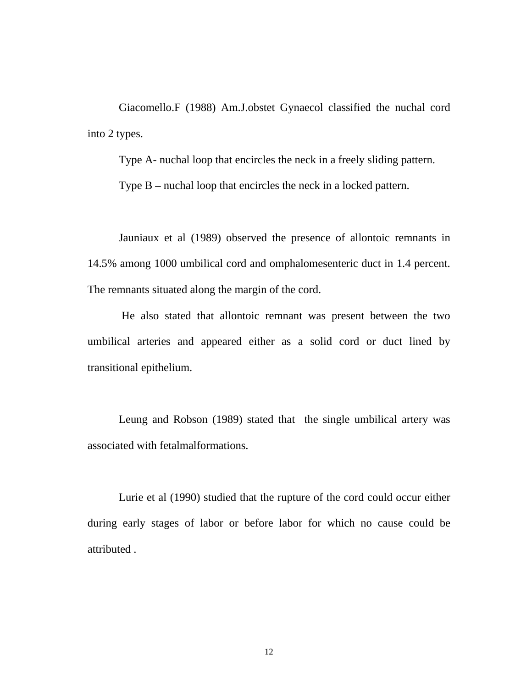Giacomello.F (1988) Am.J.obstet Gynaecol classified the nuchal cord into 2 types.

Type A- nuchal loop that encircles the neck in a freely sliding pattern.

Type B – nuchal loop that encircles the neck in a locked pattern.

Jauniaux et al (1989) observed the presence of allontoic remnants in 14.5% among 1000 umbilical cord and omphalomesenteric duct in 1.4 percent. The remnants situated along the margin of the cord.

 He also stated that allontoic remnant was present between the two umbilical arteries and appeared either as a solid cord or duct lined by transitional epithelium.

Leung and Robson (1989) stated that the single umbilical artery was associated with fetalmalformations.

Lurie et al (1990) studied that the rupture of the cord could occur either during early stages of labor or before labor for which no cause could be attributed .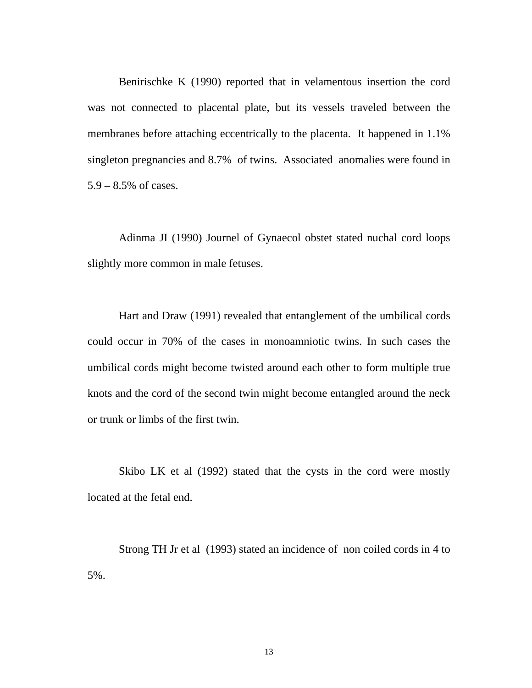Benirischke K (1990) reported that in velamentous insertion the cord was not connected to placental plate, but its vessels traveled between the membranes before attaching eccentrically to the placenta. It happened in 1.1% singleton pregnancies and 8.7% of twins. Associated anomalies were found in 5.9 – 8.5% of cases.

Adinma JI (1990) Journel of Gynaecol obstet stated nuchal cord loops slightly more common in male fetuses.

Hart and Draw (1991) revealed that entanglement of the umbilical cords could occur in 70% of the cases in monoamniotic twins. In such cases the umbilical cords might become twisted around each other to form multiple true knots and the cord of the second twin might become entangled around the neck or trunk or limbs of the first twin.

Skibo LK et al (1992) stated that the cysts in the cord were mostly located at the fetal end.

Strong TH Jr et al (1993) stated an incidence of non coiled cords in 4 to 5%.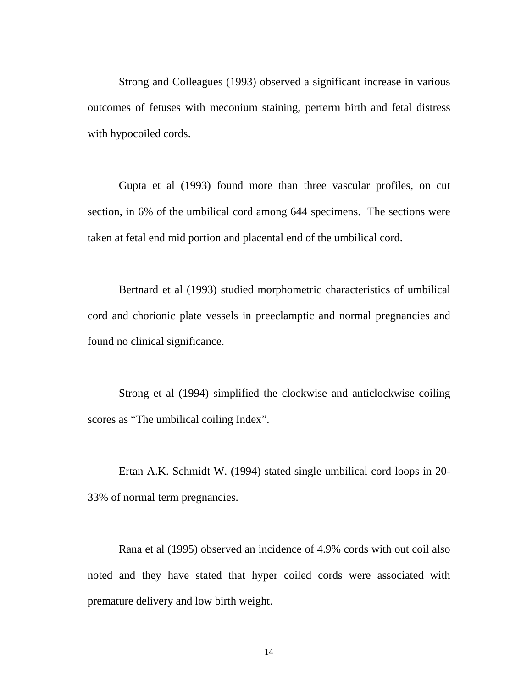Strong and Colleagues (1993) observed a significant increase in various outcomes of fetuses with meconium staining, perterm birth and fetal distress with hypocoiled cords.

Gupta et al (1993) found more than three vascular profiles, on cut section, in 6% of the umbilical cord among 644 specimens. The sections were taken at fetal end mid portion and placental end of the umbilical cord.

Bertnard et al (1993) studied morphometric characteristics of umbilical cord and chorionic plate vessels in preeclamptic and normal pregnancies and found no clinical significance.

Strong et al (1994) simplified the clockwise and anticlockwise coiling scores as "The umbilical coiling Index".

Ertan A.K. Schmidt W. (1994) stated single umbilical cord loops in 20- 33% of normal term pregnancies.

Rana et al (1995) observed an incidence of 4.9% cords with out coil also noted and they have stated that hyper coiled cords were associated with premature delivery and low birth weight.

14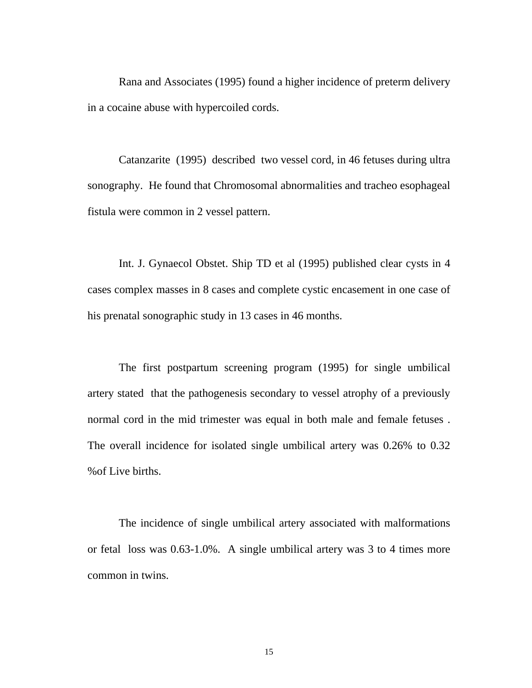Rana and Associates (1995) found a higher incidence of preterm delivery in a cocaine abuse with hypercoiled cords.

Catanzarite (1995) described two vessel cord, in 46 fetuses during ultra sonography. He found that Chromosomal abnormalities and tracheo esophageal fistula were common in 2 vessel pattern.

Int. J. Gynaecol Obstet. Ship TD et al (1995) published clear cysts in 4 cases complex masses in 8 cases and complete cystic encasement in one case of his prenatal sonographic study in 13 cases in 46 months.

The first postpartum screening program (1995) for single umbilical artery stated that the pathogenesis secondary to vessel atrophy of a previously normal cord in the mid trimester was equal in both male and female fetuses . The overall incidence for isolated single umbilical artery was 0.26% to 0.32 %of Live births.

The incidence of single umbilical artery associated with malformations or fetal loss was 0.63-1.0%. A single umbilical artery was 3 to 4 times more common in twins.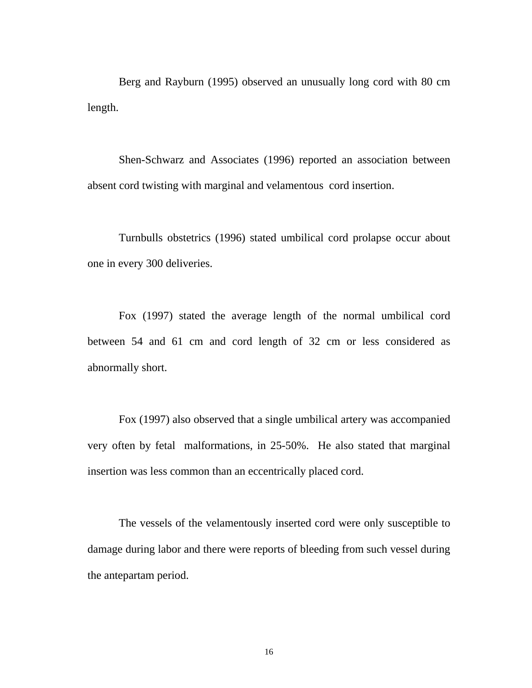Berg and Rayburn (1995) observed an unusually long cord with 80 cm length.

Shen-Schwarz and Associates (1996) reported an association between absent cord twisting with marginal and velamentous cord insertion.

Turnbulls obstetrics (1996) stated umbilical cord prolapse occur about one in every 300 deliveries.

Fox (1997) stated the average length of the normal umbilical cord between 54 and 61 cm and cord length of 32 cm or less considered as abnormally short.

Fox (1997) also observed that a single umbilical artery was accompanied very often by fetal malformations, in 25-50%. He also stated that marginal insertion was less common than an eccentrically placed cord.

The vessels of the velamentously inserted cord were only susceptible to damage during labor and there were reports of bleeding from such vessel during the antepartam period.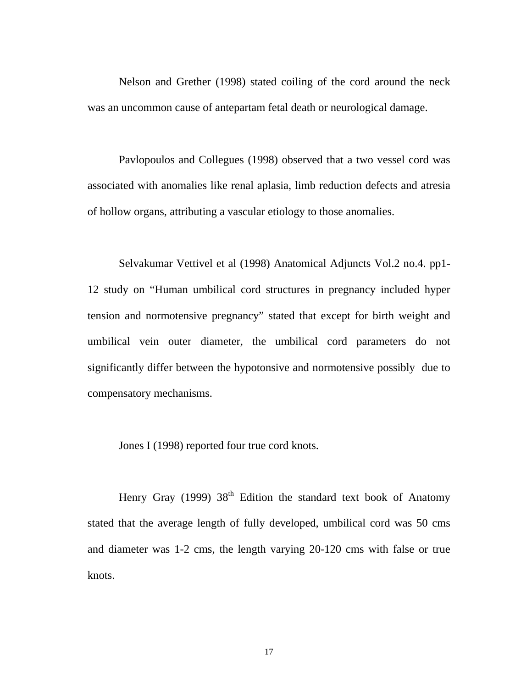Nelson and Grether (1998) stated coiling of the cord around the neck was an uncommon cause of antepartam fetal death or neurological damage.

Pavlopoulos and Collegues (1998) observed that a two vessel cord was associated with anomalies like renal aplasia, limb reduction defects and atresia of hollow organs, attributing a vascular etiology to those anomalies.

Selvakumar Vettivel et al (1998) Anatomical Adjuncts Vol.2 no.4. pp1- 12 study on "Human umbilical cord structures in pregnancy included hyper tension and normotensive pregnancy" stated that except for birth weight and umbilical vein outer diameter, the umbilical cord parameters do not significantly differ between the hypotonsive and normotensive possibly due to compensatory mechanisms.

Jones I (1998) reported four true cord knots.

Henry Gray (1999)  $38<sup>th</sup>$  Edition the standard text book of Anatomy stated that the average length of fully developed, umbilical cord was 50 cms and diameter was 1-2 cms, the length varying 20-120 cms with false or true knots.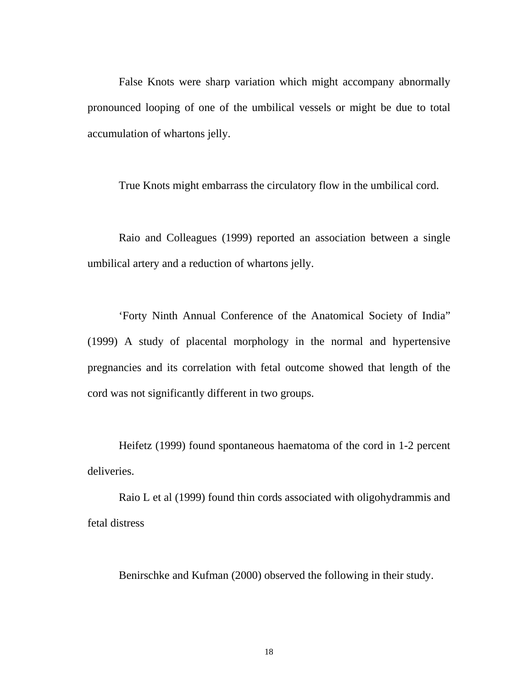False Knots were sharp variation which might accompany abnormally pronounced looping of one of the umbilical vessels or might be due to total accumulation of whartons jelly.

True Knots might embarrass the circulatory flow in the umbilical cord.

Raio and Colleagues (1999) reported an association between a single umbilical artery and a reduction of whartons jelly.

'Forty Ninth Annual Conference of the Anatomical Society of India" (1999) A study of placental morphology in the normal and hypertensive pregnancies and its correlation with fetal outcome showed that length of the cord was not significantly different in two groups.

Heifetz (1999) found spontaneous haematoma of the cord in 1-2 percent deliveries.

Raio L et al (1999) found thin cords associated with oligohydrammis and fetal distress

Benirschke and Kufman (2000) observed the following in their study.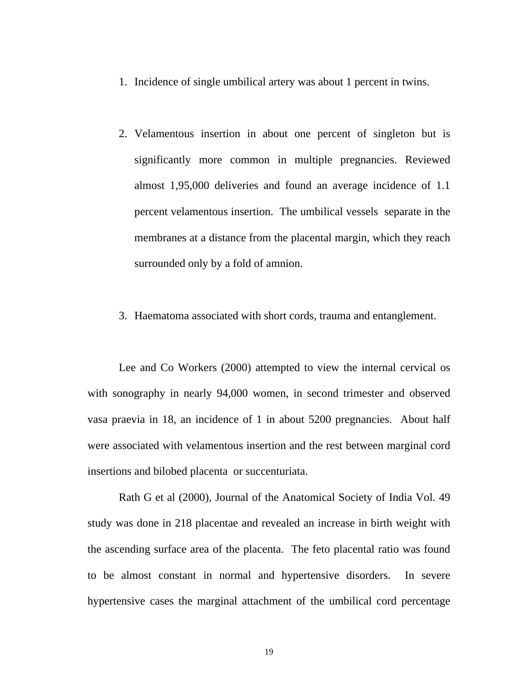- 1. Incidence of single umbilical artery was about 1 percent in twins.
- 2. Velamentous insertion in about one percent of singleton but is significantly more common in multiple pregnancies. Reviewed almost 1,95,000 deliveries and found an average incidence of 1.1 percent velamentous insertion. The umbilical vessels separate in the membranes at a distance from the placental margin, which they reach surrounded only by a fold of amnion.
- 3. Haematoma associated with short cords, trauma and entanglement.

Lee and Co Workers (2000) attempted to view the internal cervical os with sonography in nearly 94,000 women, in second trimester and observed vasa praevia in 18, an incidence of 1 in about 5200 pregnancies. About half were associated with velamentous insertion and the rest between marginal cord insertions and bilobed placenta or succenturiata.

Rath G et al (2000), Journal of the Anatomical Society of India Vol. 49 study was done in 218 placentae and revealed an increase in birth weight with the ascending surface area of the placenta. The feto placental ratio was found to be almost constant in normal and hypertensive disorders. In severe hypertensive cases the marginal attachment of the umbilical cord percentage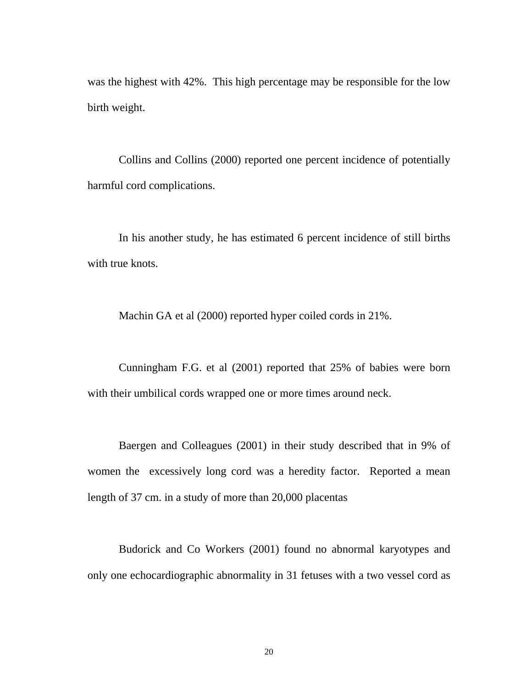was the highest with 42%. This high percentage may be responsible for the low birth weight.

Collins and Collins (2000) reported one percent incidence of potentially harmful cord complications.

In his another study, he has estimated 6 percent incidence of still births with true knots.

Machin GA et al (2000) reported hyper coiled cords in 21%.

Cunningham F.G. et al (2001) reported that 25% of babies were born with their umbilical cords wrapped one or more times around neck.

Baergen and Colleagues (2001) in their study described that in 9% of women the excessively long cord was a heredity factor. Reported a mean length of 37 cm. in a study of more than 20,000 placentas

Budorick and Co Workers (2001) found no abnormal karyotypes and only one echocardiographic abnormality in 31 fetuses with a two vessel cord as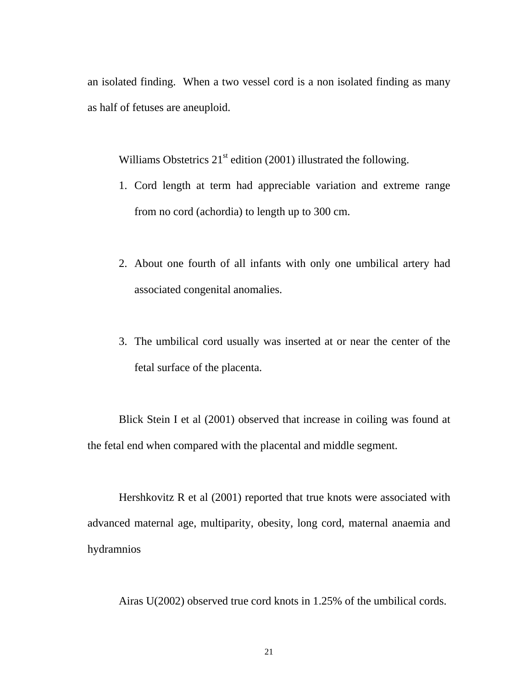an isolated finding. When a two vessel cord is a non isolated finding as many as half of fetuses are aneuploid.

Williams Obstetrics  $21<sup>st</sup>$  edition (2001) illustrated the following.

- 1. Cord length at term had appreciable variation and extreme range from no cord (achordia) to length up to 300 cm.
- 2. About one fourth of all infants with only one umbilical artery had associated congenital anomalies.
- 3. The umbilical cord usually was inserted at or near the center of the fetal surface of the placenta.

Blick Stein I et al (2001) observed that increase in coiling was found at the fetal end when compared with the placental and middle segment.

Hershkovitz R et al (2001) reported that true knots were associated with advanced maternal age, multiparity, obesity, long cord, maternal anaemia and hydramnios

Airas U(2002) observed true cord knots in 1.25% of the umbilical cords.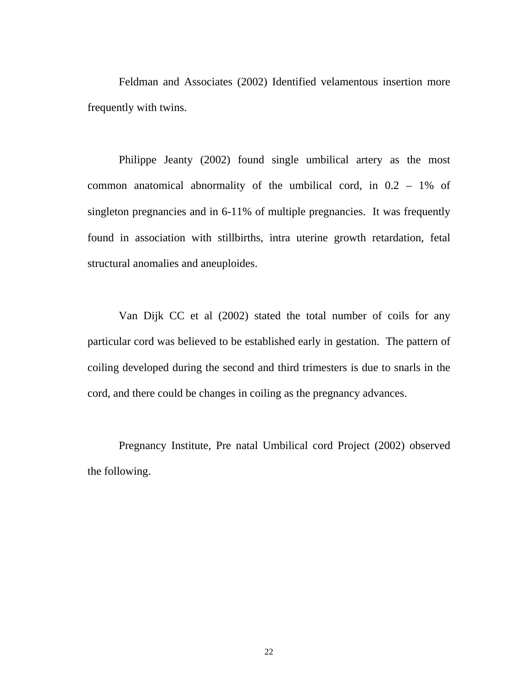Feldman and Associates (2002) Identified velamentous insertion more frequently with twins.

 Philippe Jeanty (2002) found single umbilical artery as the most common anatomical abnormality of the umbilical cord, in 0.2 – 1% of singleton pregnancies and in 6-11% of multiple pregnancies. It was frequently found in association with stillbirths, intra uterine growth retardation, fetal structural anomalies and aneuploides.

Van Dijk CC et al (2002) stated the total number of coils for any particular cord was believed to be established early in gestation. The pattern of coiling developed during the second and third trimesters is due to snarls in the cord, and there could be changes in coiling as the pregnancy advances.

Pregnancy Institute, Pre natal Umbilical cord Project (2002) observed the following.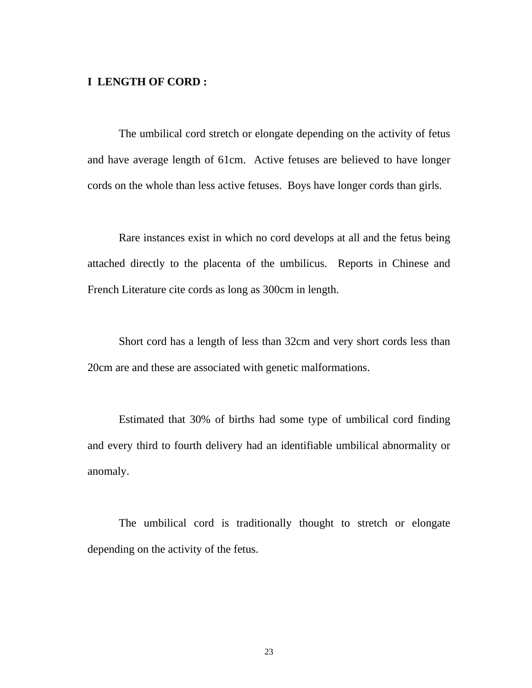#### **I LENGTH OF CORD :**

The umbilical cord stretch or elongate depending on the activity of fetus and have average length of 61cm. Active fetuses are believed to have longer cords on the whole than less active fetuses. Boys have longer cords than girls.

Rare instances exist in which no cord develops at all and the fetus being attached directly to the placenta of the umbilicus. Reports in Chinese and French Literature cite cords as long as 300cm in length.

Short cord has a length of less than 32cm and very short cords less than 20cm are and these are associated with genetic malformations.

Estimated that 30% of births had some type of umbilical cord finding and every third to fourth delivery had an identifiable umbilical abnormality or anomaly.

The umbilical cord is traditionally thought to stretch or elongate depending on the activity of the fetus.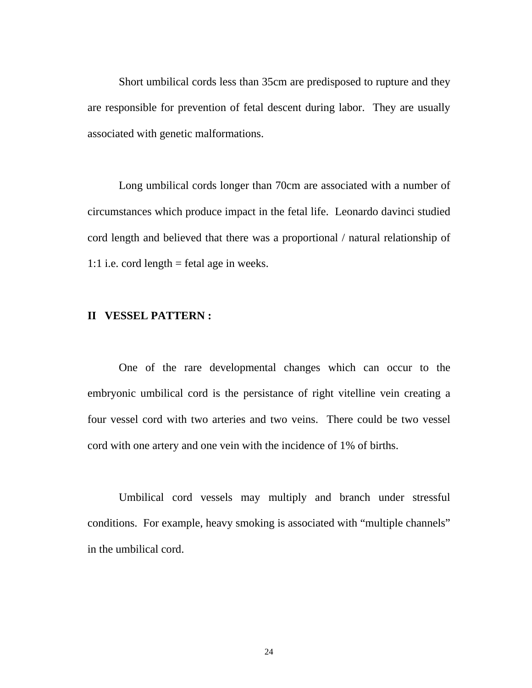Short umbilical cords less than 35cm are predisposed to rupture and they are responsible for prevention of fetal descent during labor. They are usually associated with genetic malformations.

Long umbilical cords longer than 70cm are associated with a number of circumstances which produce impact in the fetal life. Leonardo davinci studied cord length and believed that there was a proportional / natural relationship of 1:1 i.e. cord length = fetal age in weeks.

#### **II VESSEL PATTERN :**

One of the rare developmental changes which can occur to the embryonic umbilical cord is the persistance of right vitelline vein creating a four vessel cord with two arteries and two veins. There could be two vessel cord with one artery and one vein with the incidence of 1% of births.

Umbilical cord vessels may multiply and branch under stressful conditions. For example, heavy smoking is associated with "multiple channels" in the umbilical cord.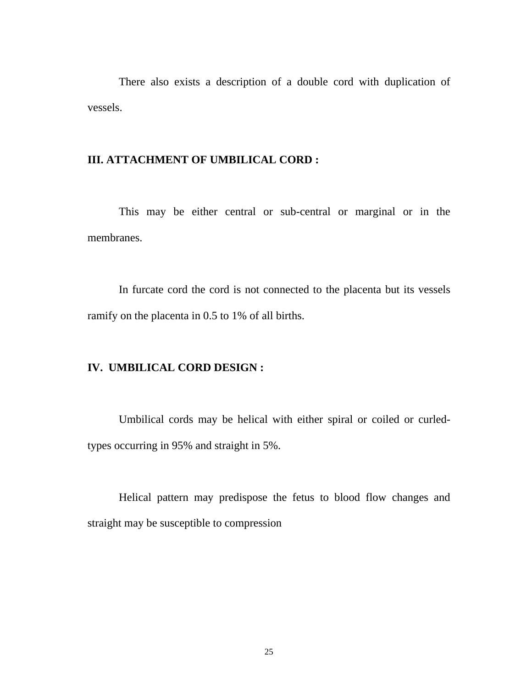There also exists a description of a double cord with duplication of vessels.

#### **III. ATTACHMENT OF UMBILICAL CORD :**

This may be either central or sub-central or marginal or in the membranes.

In furcate cord the cord is not connected to the placenta but its vessels ramify on the placenta in 0.5 to 1% of all births.

#### **IV. UMBILICAL CORD DESIGN :**

Umbilical cords may be helical with either spiral or coiled or curledtypes occurring in 95% and straight in 5%.

Helical pattern may predispose the fetus to blood flow changes and straight may be susceptible to compression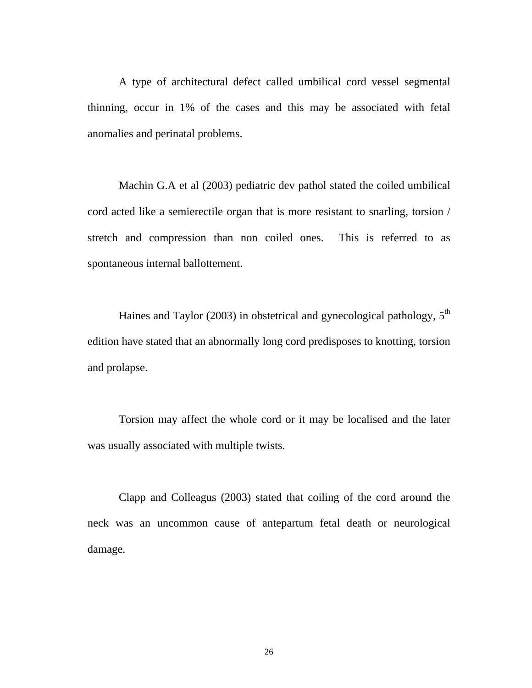A type of architectural defect called umbilical cord vessel segmental thinning, occur in 1% of the cases and this may be associated with fetal anomalies and perinatal problems.

Machin G.A et al (2003) pediatric dev pathol stated the coiled umbilical cord acted like a semierectile organ that is more resistant to snarling, torsion / stretch and compression than non coiled ones. This is referred to as spontaneous internal ballottement.

Haines and Taylor (2003) in obstetrical and gynecological pathology,  $5<sup>th</sup>$ edition have stated that an abnormally long cord predisposes to knotting, torsion and prolapse.

Torsion may affect the whole cord or it may be localised and the later was usually associated with multiple twists.

Clapp and Colleagus (2003) stated that coiling of the cord around the neck was an uncommon cause of antepartum fetal death or neurological damage.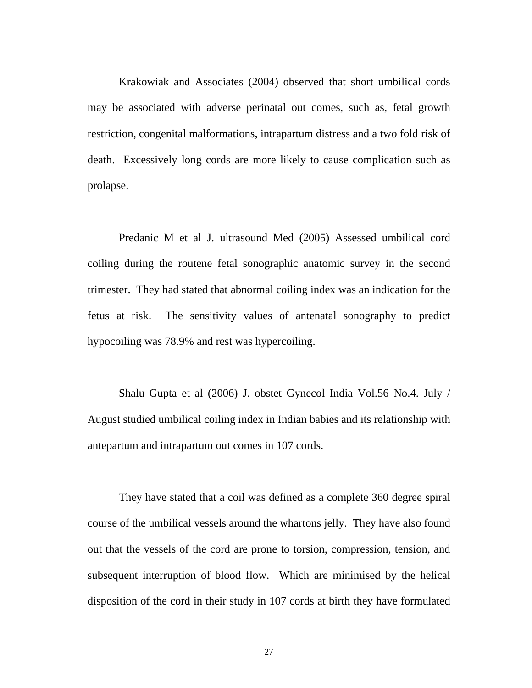Krakowiak and Associates (2004) observed that short umbilical cords may be associated with adverse perinatal out comes, such as, fetal growth restriction, congenital malformations, intrapartum distress and a two fold risk of death. Excessively long cords are more likely to cause complication such as prolapse.

 Predanic M et al J. ultrasound Med (2005) Assessed umbilical cord coiling during the routene fetal sonographic anatomic survey in the second trimester. They had stated that abnormal coiling index was an indication for the fetus at risk. The sensitivity values of antenatal sonography to predict hypocoiling was 78.9% and rest was hypercoiling.

Shalu Gupta et al (2006) J. obstet Gynecol India Vol.56 No.4. July / August studied umbilical coiling index in Indian babies and its relationship with antepartum and intrapartum out comes in 107 cords.

They have stated that a coil was defined as a complete 360 degree spiral course of the umbilical vessels around the whartons jelly. They have also found out that the vessels of the cord are prone to torsion, compression, tension, and subsequent interruption of blood flow. Which are minimised by the helical disposition of the cord in their study in 107 cords at birth they have formulated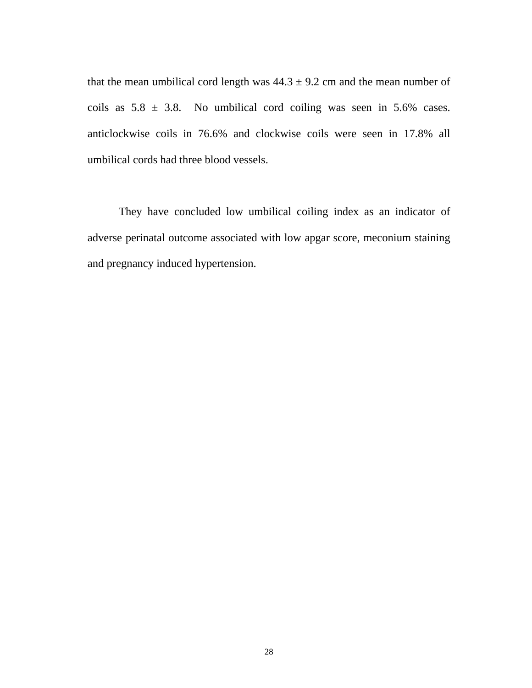that the mean umbilical cord length was  $44.3 \pm 9.2$  cm and the mean number of coils as  $5.8 \pm 3.8$ . No umbilical cord coiling was seen in  $5.6\%$  cases. anticlockwise coils in 76.6% and clockwise coils were seen in 17.8% all umbilical cords had three blood vessels.

They have concluded low umbilical coiling index as an indicator of adverse perinatal outcome associated with low apgar score, meconium staining and pregnancy induced hypertension.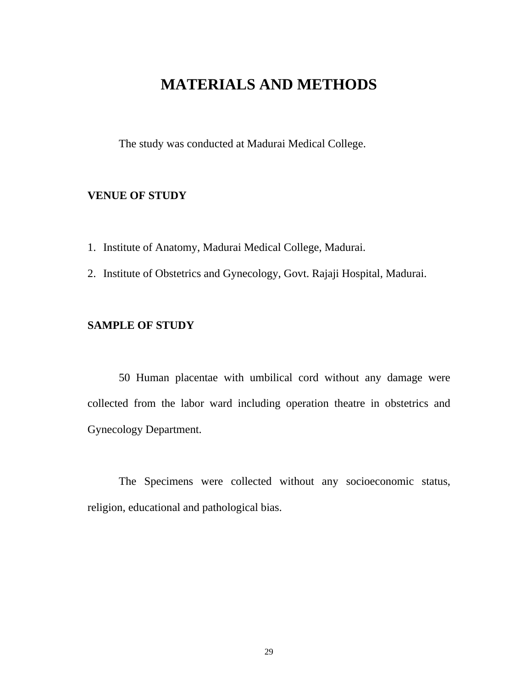## **MATERIALS AND METHODS**

The study was conducted at Madurai Medical College.

#### **VENUE OF STUDY**

1. Institute of Anatomy, Madurai Medical College, Madurai.

2. Institute of Obstetrics and Gynecology, Govt. Rajaji Hospital, Madurai.

#### **SAMPLE OF STUDY**

 50 Human placentae with umbilical cord without any damage were collected from the labor ward including operation theatre in obstetrics and Gynecology Department.

 The Specimens were collected without any socioeconomic status, religion, educational and pathological bias.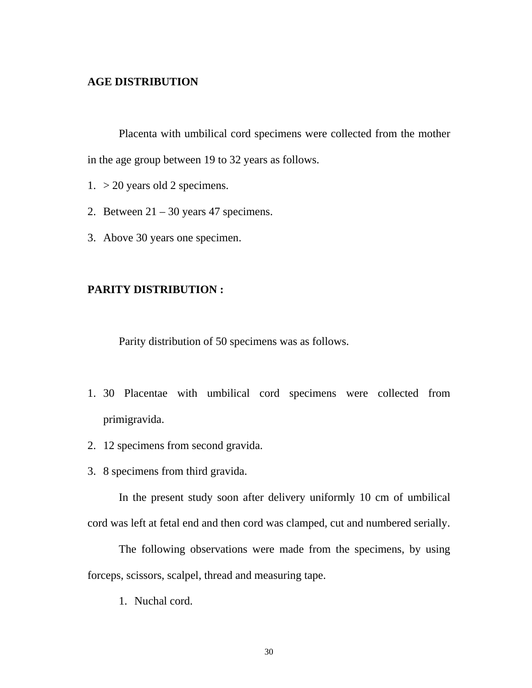#### **AGE DISTRIBUTION**

 Placenta with umbilical cord specimens were collected from the mother in the age group between 19 to 32 years as follows.

- 1. > 20 years old 2 specimens.
- 2. Between  $21 30$  years 47 specimens.
- 3. Above 30 years one specimen.

#### **PARITY DISTRIBUTION :**

Parity distribution of 50 specimens was as follows.

- 1. 30 Placentae with umbilical cord specimens were collected from primigravida.
- 2. 12 specimens from second gravida.
- 3. 8 specimens from third gravida.

In the present study soon after delivery uniformly 10 cm of umbilical cord was left at fetal end and then cord was clamped, cut and numbered serially.

The following observations were made from the specimens, by using forceps, scissors, scalpel, thread and measuring tape.

1. Nuchal cord.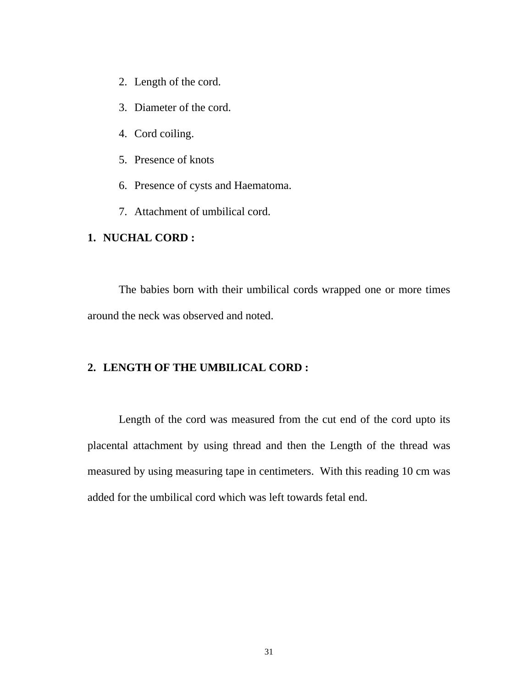- 2. Length of the cord.
- 3. Diameter of the cord.
- 4. Cord coiling.
- 5. Presence of knots
- 6. Presence of cysts and Haematoma.
- 7. Attachment of umbilical cord.

### **1. NUCHAL CORD :**

The babies born with their umbilical cords wrapped one or more times around the neck was observed and noted.

### **2. LENGTH OF THE UMBILICAL CORD :**

Length of the cord was measured from the cut end of the cord upto its placental attachment by using thread and then the Length of the thread was measured by using measuring tape in centimeters. With this reading 10 cm was added for the umbilical cord which was left towards fetal end.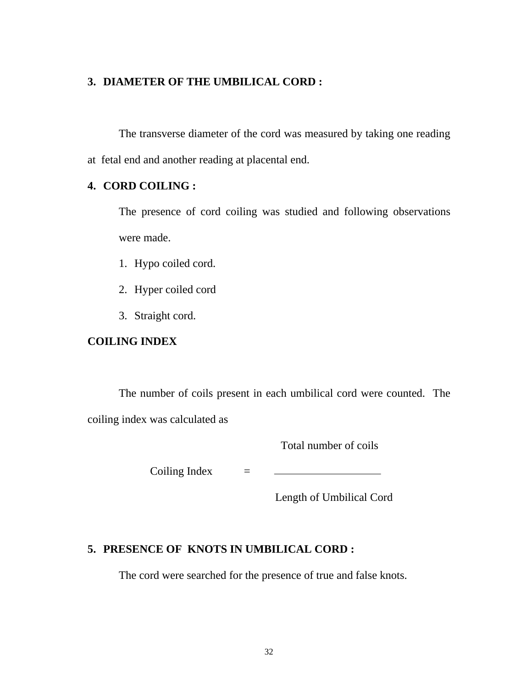## **3. DIAMETER OF THE UMBILICAL CORD :**

The transverse diameter of the cord was measured by taking one reading at fetal end and another reading at placental end.

## **4. CORD COILING :**

The presence of cord coiling was studied and following observations were made.

- 1. Hypo coiled cord.
- 2. Hyper coiled cord
- 3. Straight cord.

## **COILING INDEX**

The number of coils present in each umbilical cord were counted. The coiling index was calculated as

Total number of coils

Coiling Index  $=$ 

Length of Umbilical Cord

## **5. PRESENCE OF KNOTS IN UMBILICAL CORD :**

The cord were searched for the presence of true and false knots.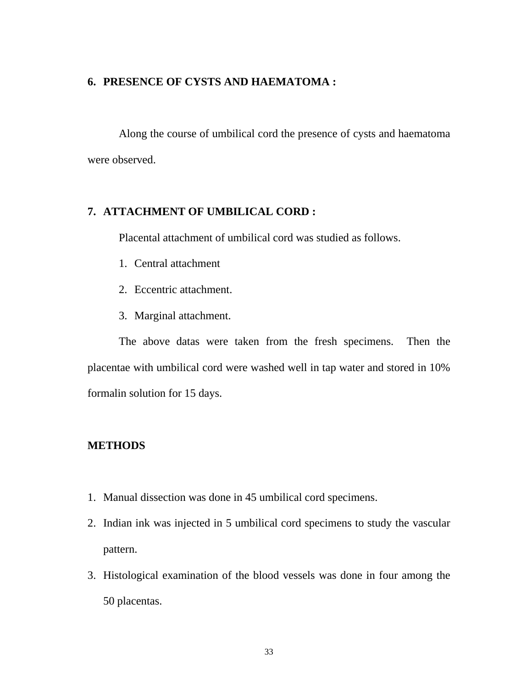### **6. PRESENCE OF CYSTS AND HAEMATOMA :**

Along the course of umbilical cord the presence of cysts and haematoma were observed.

## **7. ATTACHMENT OF UMBILICAL CORD :**

Placental attachment of umbilical cord was studied as follows.

- 1. Central attachment
- 2. Eccentric attachment.
- 3. Marginal attachment.

The above datas were taken from the fresh specimens. Then the placentae with umbilical cord were washed well in tap water and stored in 10% formalin solution for 15 days.

## **METHODS**

- 1. Manual dissection was done in 45 umbilical cord specimens.
- 2. Indian ink was injected in 5 umbilical cord specimens to study the vascular pattern.
- 3. Histological examination of the blood vessels was done in four among the 50 placentas.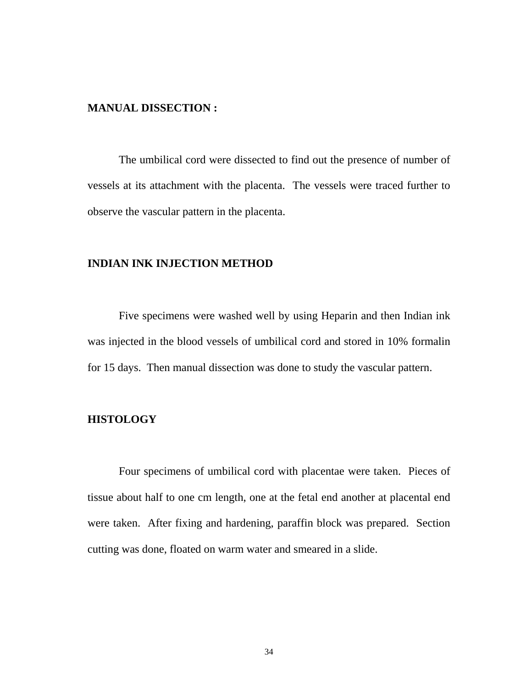#### **MANUAL DISSECTION :**

 The umbilical cord were dissected to find out the presence of number of vessels at its attachment with the placenta. The vessels were traced further to observe the vascular pattern in the placenta.

## **INDIAN INK INJECTION METHOD**

 Five specimens were washed well by using Heparin and then Indian ink was injected in the blood vessels of umbilical cord and stored in 10% formalin for 15 days. Then manual dissection was done to study the vascular pattern.

### **HISTOLOGY**

 Four specimens of umbilical cord with placentae were taken. Pieces of tissue about half to one cm length, one at the fetal end another at placental end were taken. After fixing and hardening, paraffin block was prepared. Section cutting was done, floated on warm water and smeared in a slide.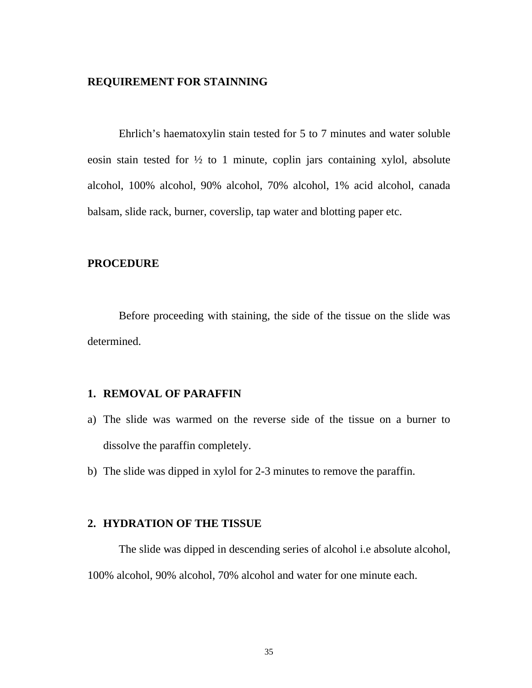### **REQUIREMENT FOR STAINNING**

 Ehrlich's haematoxylin stain tested for 5 to 7 minutes and water soluble eosin stain tested for  $\frac{1}{2}$  to 1 minute, coplin jars containing xylol, absolute alcohol, 100% alcohol, 90% alcohol, 70% alcohol, 1% acid alcohol, canada balsam, slide rack, burner, coverslip, tap water and blotting paper etc.

### **PROCEDURE**

 Before proceeding with staining, the side of the tissue on the slide was determined.

## **1. REMOVAL OF PARAFFIN**

- a) The slide was warmed on the reverse side of the tissue on a burner to dissolve the paraffin completely.
- b) The slide was dipped in xylol for 2-3 minutes to remove the paraffin.

#### **2. HYDRATION OF THE TISSUE**

The slide was dipped in descending series of alcohol i.e absolute alcohol, 100% alcohol, 90% alcohol, 70% alcohol and water for one minute each.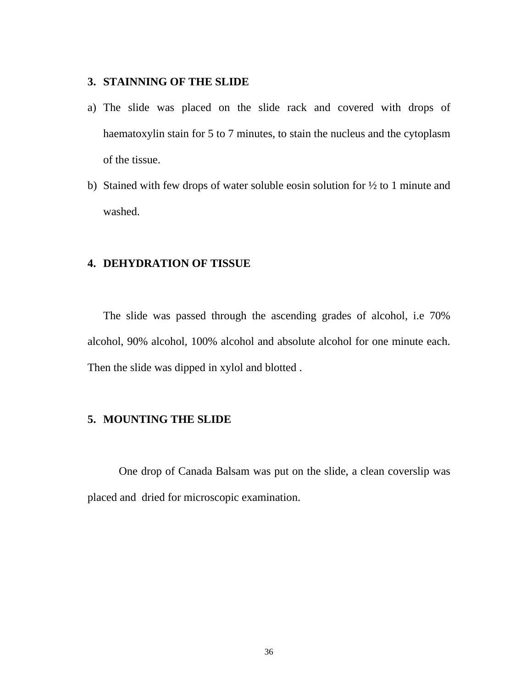### **3. STAINNING OF THE SLIDE**

- a) The slide was placed on the slide rack and covered with drops of haematoxylin stain for 5 to 7 minutes, to stain the nucleus and the cytoplasm of the tissue.
- b) Stained with few drops of water soluble eosin solution for  $\frac{1}{2}$  to 1 minute and washed.

## **4. DEHYDRATION OF TISSUE**

The slide was passed through the ascending grades of alcohol, i.e 70% alcohol, 90% alcohol, 100% alcohol and absolute alcohol for one minute each. Then the slide was dipped in xylol and blotted .

### **5. MOUNTING THE SLIDE**

One drop of Canada Balsam was put on the slide, a clean coverslip was placed and dried for microscopic examination.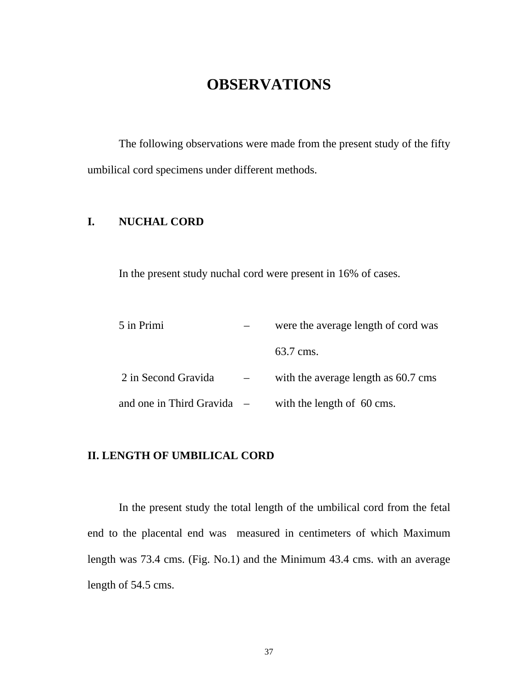# **OBSERVATIONS**

 The following observations were made from the present study of the fifty umbilical cord specimens under different methods.

## **I. NUCHAL CORD**

In the present study nuchal cord were present in 16% of cases.

| 5 in Primi                   | were the average length of cord was |
|------------------------------|-------------------------------------|
|                              | 63.7 cms.                           |
| 2 in Second Gravida          | with the average length as 60.7 cms |
| and one in Third Gravida $-$ | with the length of 60 cms.          |

## **II. LENGTH OF UMBILICAL CORD**

 In the present study the total length of the umbilical cord from the fetal end to the placental end was measured in centimeters of which Maximum length was 73.4 cms. (Fig. No.1) and the Minimum 43.4 cms. with an average length of 54.5 cms.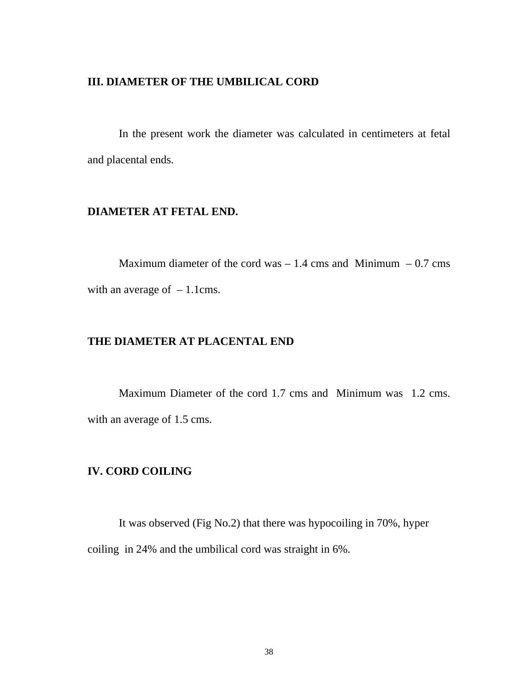### **III. DIAMETER OF THE UMBILICAL CORD**

 In the present work the diameter was calculated in centimeters at fetal and placental ends.

## **DIAMETER AT FETAL END.**

Maximum diameter of the cord was  $-1.4$  cms and Minimum  $-0.7$  cms with an average of  $-1.1$ cms.

## **THE DIAMETER AT PLACENTAL END**

Maximum Diameter of the cord 1.7 cms and Minimum was 1.2 cms. with an average of 1.5 cms.

## **IV. CORD COILING**

It was observed (Fig No.2) that there was hypocoiling in 70%, hyper coiling in 24% and the umbilical cord was straight in 6%.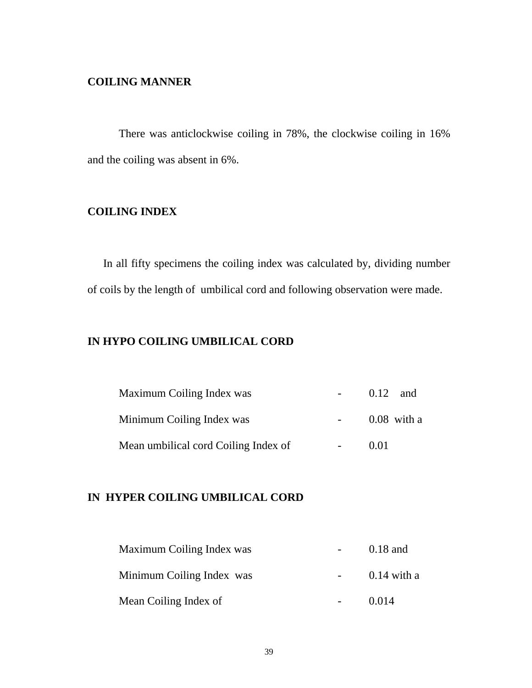### **COILING MANNER**

There was anticlockwise coiling in 78%, the clockwise coiling in 16% and the coiling was absent in 6%.

## **COILING INDEX**

In all fifty specimens the coiling index was calculated by, dividing number of coils by the length of umbilical cord and following observation were made.

## **IN HYPO COILING UMBILICAL CORD**

| Maximum Coiling Index was            | $0.12$ and    |
|--------------------------------------|---------------|
| Minimum Coiling Index was            | $0.08$ with a |
| Mean umbilical cord Coiling Index of | 0.01          |

## **IN HYPER COILING UMBILICAL CORD**

| Maximum Coiling Index was | $0.18$ and    |
|---------------------------|---------------|
| Minimum Coiling Index was | $0.14$ with a |
| Mean Coiling Index of     | 0.014         |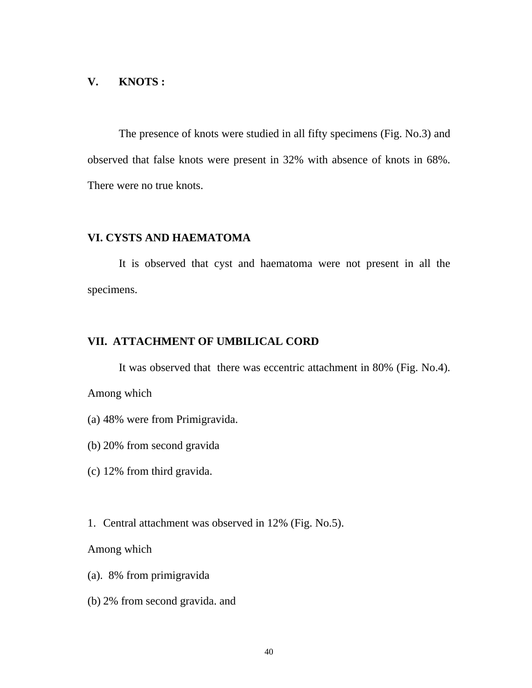### **V. KNOTS :**

 The presence of knots were studied in all fifty specimens (Fig. No.3) and observed that false knots were present in 32% with absence of knots in 68%. There were no true knots.

## **VI. CYSTS AND HAEMATOMA**

 It is observed that cyst and haematoma were not present in all the specimens.

## **VII. ATTACHMENT OF UMBILICAL CORD**

It was observed that there was eccentric attachment in 80% (Fig. No.4).

Among which

- (a) 48% were from Primigravida.
- (b) 20% from second gravida
- (c) 12% from third gravida.
- 1. Central attachment was observed in 12% (Fig. No.5).

Among which

- (a). 8% from primigravida
- (b) 2% from second gravida. and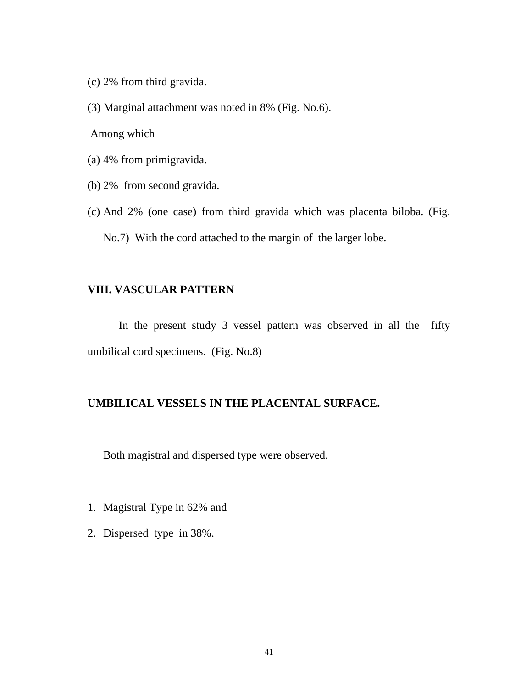- (c) 2% from third gravida.
- (3) Marginal attachment was noted in 8% (Fig. No.6).

Among which

- (a) 4% from primigravida.
- (b) 2% from second gravida.
- (c) And 2% (one case) from third gravida which was placenta biloba. (Fig. No.7) With the cord attached to the margin of the larger lobe.

#### **VIII. VASCULAR PATTERN**

 In the present study 3 vessel pattern was observed in all the fifty umbilical cord specimens. (Fig. No.8)

## **UMBILICAL VESSELS IN THE PLACENTAL SURFACE.**

Both magistral and dispersed type were observed.

- 1. Magistral Type in 62% and
- 2. Dispersed type in 38%.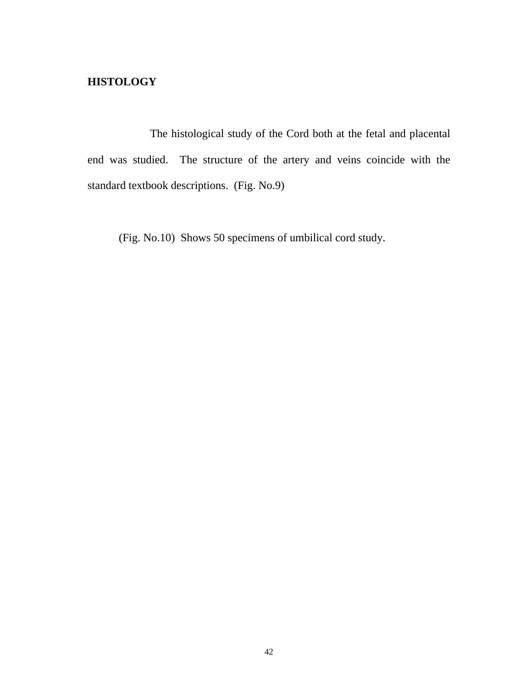## **HISTOLOGY**

 The histological study of the Cord both at the fetal and placental end was studied. The structure of the artery and veins coincide with the standard textbook descriptions. (Fig. No.9)

(Fig. No.10) Shows 50 specimens of umbilical cord study.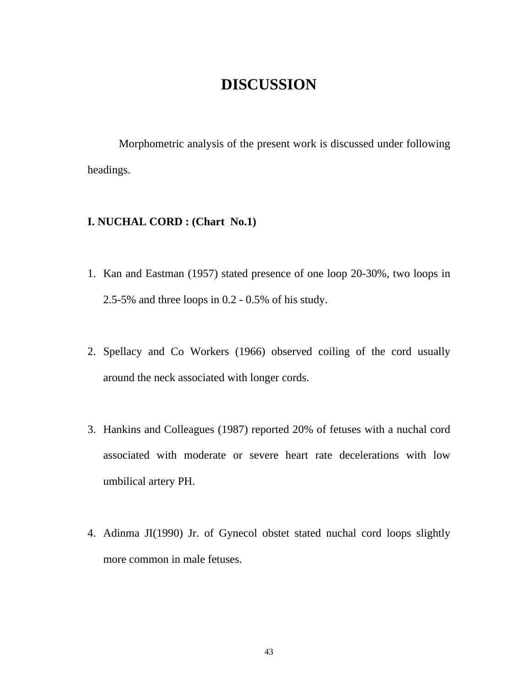# **DISCUSSION**

 Morphometric analysis of the present work is discussed under following headings.

## **I. NUCHAL CORD : (Chart No.1)**

- 1. Kan and Eastman (1957) stated presence of one loop 20-30%, two loops in 2.5-5% and three loops in 0.2 - 0.5% of his study.
- 2. Spellacy and Co Workers (1966) observed coiling of the cord usually around the neck associated with longer cords.
- 3. Hankins and Colleagues (1987) reported 20% of fetuses with a nuchal cord associated with moderate or severe heart rate decelerations with low umbilical artery PH.
- 4. Adinma JI(1990) Jr. of Gynecol obstet stated nuchal cord loops slightly more common in male fetuses.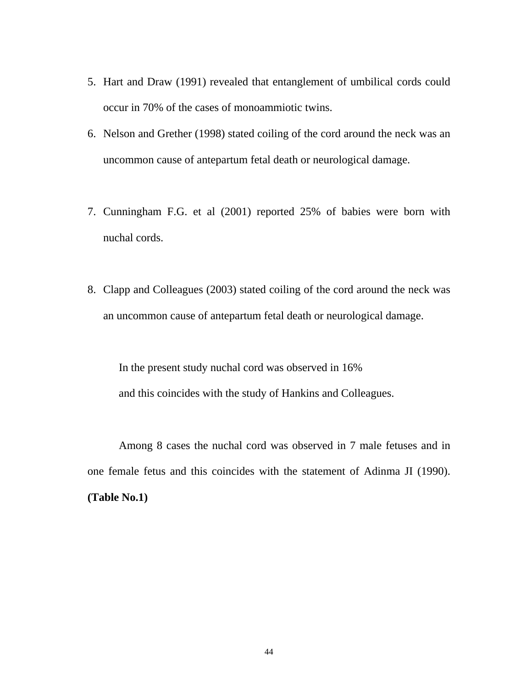- 5. Hart and Draw (1991) revealed that entanglement of umbilical cords could occur in 70% of the cases of monoammiotic twins.
- 6. Nelson and Grether (1998) stated coiling of the cord around the neck was an uncommon cause of antepartum fetal death or neurological damage.
- 7. Cunningham F.G. et al (2001) reported 25% of babies were born with nuchal cords.
- 8. Clapp and Colleagues (2003) stated coiling of the cord around the neck was an uncommon cause of antepartum fetal death or neurological damage.

In the present study nuchal cord was observed in 16% and this coincides with the study of Hankins and Colleagues.

 Among 8 cases the nuchal cord was observed in 7 male fetuses and in one female fetus and this coincides with the statement of Adinma JI (1990). **(Table No.1)**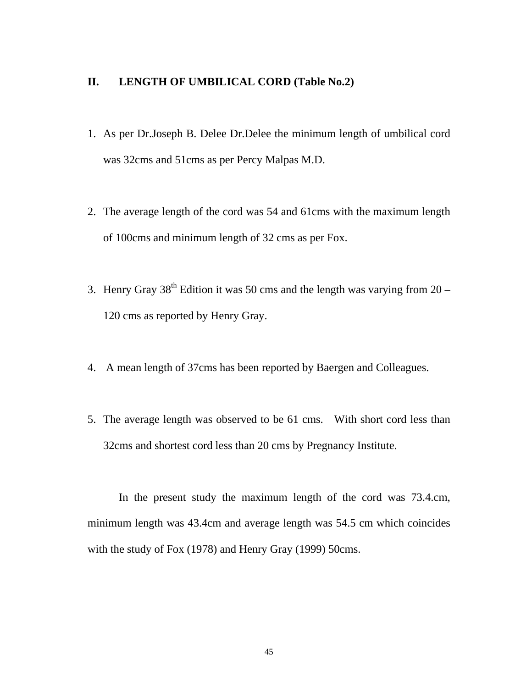## **II. LENGTH OF UMBILICAL CORD (Table No.2)**

- 1. As per Dr.Joseph B. Delee Dr.Delee the minimum length of umbilical cord was 32cms and 51cms as per Percy Malpas M.D.
- 2. The average length of the cord was 54 and 61cms with the maximum length of 100cms and minimum length of 32 cms as per Fox.
- 3. Henry Gray  $38^{th}$  Edition it was 50 cms and the length was varying from  $20 -$ 120 cms as reported by Henry Gray.
- 4. A mean length of 37cms has been reported by Baergen and Colleagues.
- 5. The average length was observed to be 61 cms. With short cord less than 32cms and shortest cord less than 20 cms by Pregnancy Institute.

In the present study the maximum length of the cord was 73.4.cm, minimum length was 43.4cm and average length was 54.5 cm which coincides with the study of Fox (1978) and Henry Gray (1999) 50cms.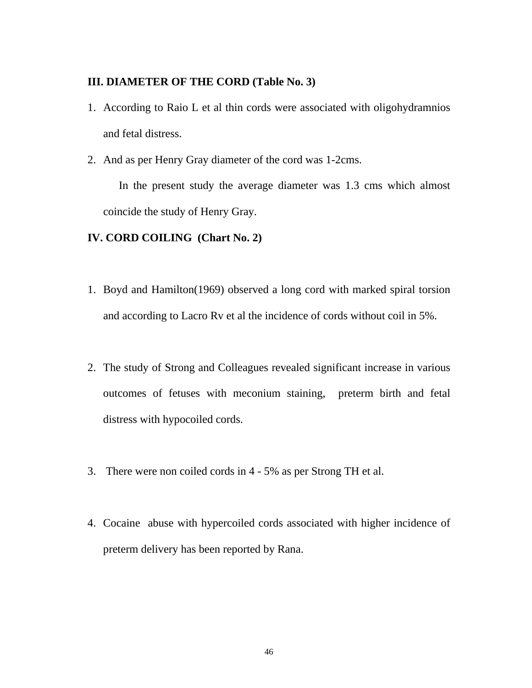## **III. DIAMETER OF THE CORD (Table No. 3)**

- 1. According to Raio L et al thin cords were associated with oligohydramnios and fetal distress.
- 2. And as per Henry Gray diameter of the cord was 1-2cms.

In the present study the average diameter was 1.3 cms which almost coincide the study of Henry Gray.

## **IV. CORD COILING (Chart No. 2)**

- 1. Boyd and Hamilton(1969) observed a long cord with marked spiral torsion and according to Lacro Rv et al the incidence of cords without coil in 5%.
- 2. The study of Strong and Colleagues revealed significant increase in various outcomes of fetuses with meconium staining, preterm birth and fetal distress with hypocoiled cords.
- 3. There were non coiled cords in 4 5% as per Strong TH et al.
- 4. Cocaine abuse with hypercoiled cords associated with higher incidence of preterm delivery has been reported by Rana.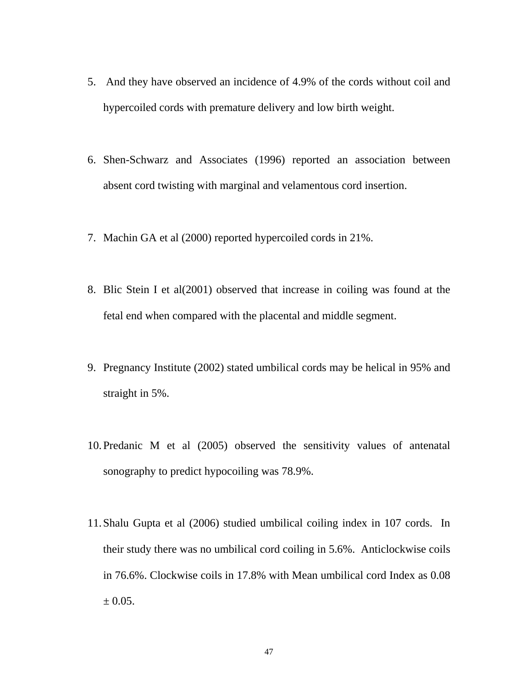- 5. And they have observed an incidence of 4.9% of the cords without coil and hypercoiled cords with premature delivery and low birth weight.
- 6. Shen-Schwarz and Associates (1996) reported an association between absent cord twisting with marginal and velamentous cord insertion.
- 7. Machin GA et al (2000) reported hypercoiled cords in 21%.
- 8. Blic Stein I et al(2001) observed that increase in coiling was found at the fetal end when compared with the placental and middle segment.
- 9. Pregnancy Institute (2002) stated umbilical cords may be helical in 95% and straight in 5%.
- 10.Predanic M et al (2005) observed the sensitivity values of antenatal sonography to predict hypocoiling was 78.9%.
- 11.Shalu Gupta et al (2006) studied umbilical coiling index in 107 cords. In their study there was no umbilical cord coiling in 5.6%. Anticlockwise coils in 76.6%. Clockwise coils in 17.8% with Mean umbilical cord Index as 0.08  $\pm 0.05$ .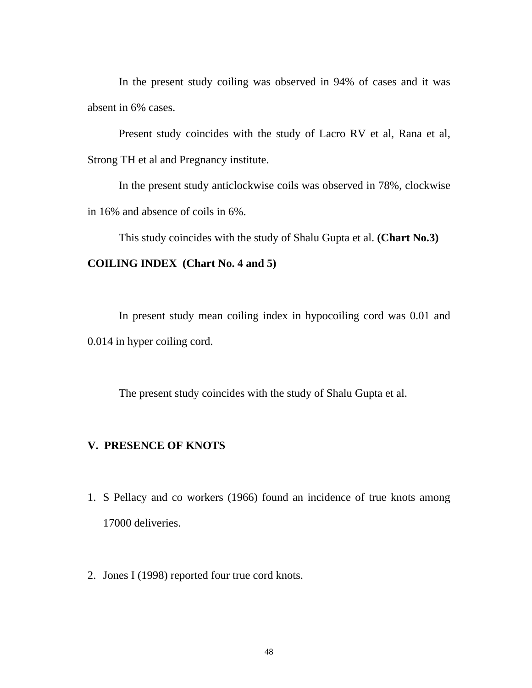In the present study coiling was observed in 94% of cases and it was absent in 6% cases.

 Present study coincides with the study of Lacro RV et al, Rana et al, Strong TH et al and Pregnancy institute.

 In the present study anticlockwise coils was observed in 78%, clockwise in 16% and absence of coils in 6%.

This study coincides with the study of Shalu Gupta et al. **(Chart No.3)**

### **COILING INDEX (Chart No. 4 and 5)**

 In present study mean coiling index in hypocoiling cord was 0.01 and 0.014 in hyper coiling cord.

The present study coincides with the study of Shalu Gupta et al.

## **V. PRESENCE OF KNOTS**

- 1. S Pellacy and co workers (1966) found an incidence of true knots among 17000 deliveries.
- 2. Jones I (1998) reported four true cord knots.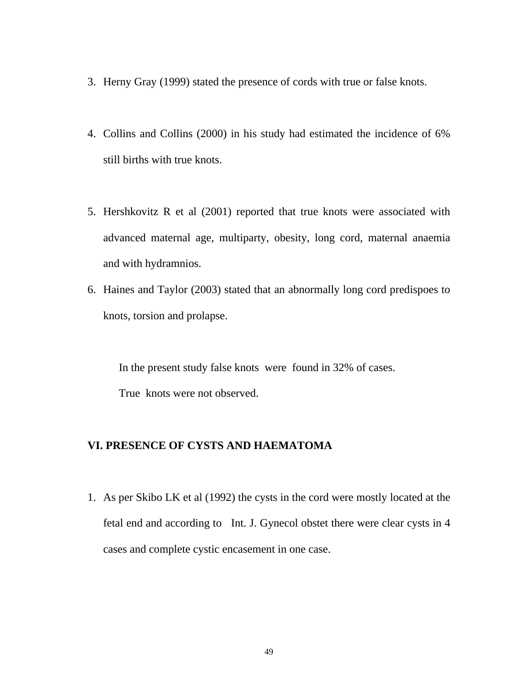- 3. Herny Gray (1999) stated the presence of cords with true or false knots.
- 4. Collins and Collins (2000) in his study had estimated the incidence of 6% still births with true knots.
- 5. Hershkovitz R et al (2001) reported that true knots were associated with advanced maternal age, multiparty, obesity, long cord, maternal anaemia and with hydramnios.
- 6. Haines and Taylor (2003) stated that an abnormally long cord predispoes to knots, torsion and prolapse.

In the present study false knots were found in 32% of cases. True knots were not observed.

## **VI. PRESENCE OF CYSTS AND HAEMATOMA**

1. As per Skibo LK et al (1992) the cysts in the cord were mostly located at the fetal end and according to Int. J. Gynecol obstet there were clear cysts in 4 cases and complete cystic encasement in one case.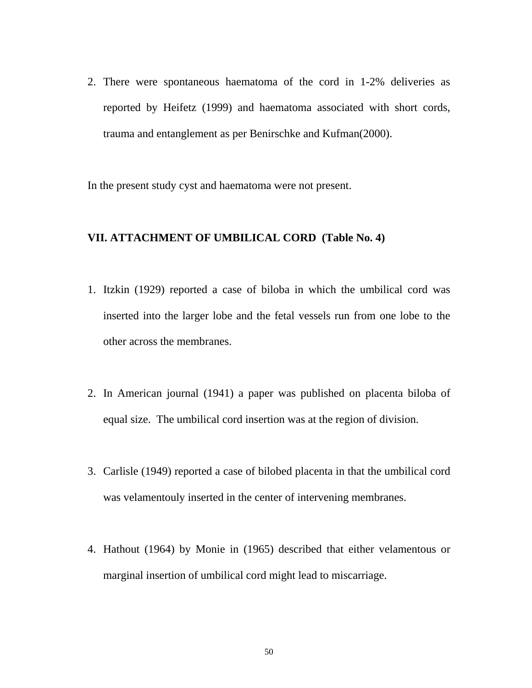2. There were spontaneous haematoma of the cord in 1-2% deliveries as reported by Heifetz (1999) and haematoma associated with short cords, trauma and entanglement as per Benirschke and Kufman(2000).

In the present study cyst and haematoma were not present.

#### **VII. ATTACHMENT OF UMBILICAL CORD (Table No. 4)**

- 1. Itzkin (1929) reported a case of biloba in which the umbilical cord was inserted into the larger lobe and the fetal vessels run from one lobe to the other across the membranes.
- 2. In American journal (1941) a paper was published on placenta biloba of equal size. The umbilical cord insertion was at the region of division.
- 3. Carlisle (1949) reported a case of bilobed placenta in that the umbilical cord was velamentouly inserted in the center of intervening membranes.
- 4. Hathout (1964) by Monie in (1965) described that either velamentous or marginal insertion of umbilical cord might lead to miscarriage.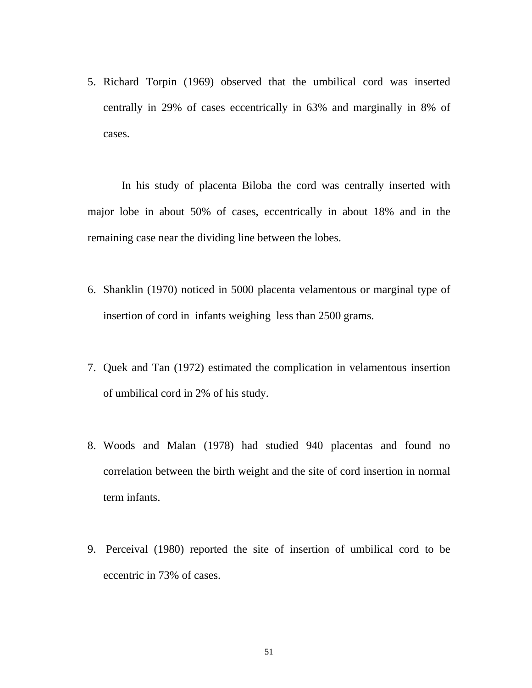5. Richard Torpin (1969) observed that the umbilical cord was inserted centrally in 29% of cases eccentrically in 63% and marginally in 8% of cases.

 In his study of placenta Biloba the cord was centrally inserted with major lobe in about 50% of cases, eccentrically in about 18% and in the remaining case near the dividing line between the lobes.

- 6. Shanklin (1970) noticed in 5000 placenta velamentous or marginal type of insertion of cord in infants weighing less than 2500 grams.
- 7. Quek and Tan (1972) estimated the complication in velamentous insertion of umbilical cord in 2% of his study.
- 8. Woods and Malan (1978) had studied 940 placentas and found no correlation between the birth weight and the site of cord insertion in normal term infants.
- 9. Perceival (1980) reported the site of insertion of umbilical cord to be eccentric in 73% of cases.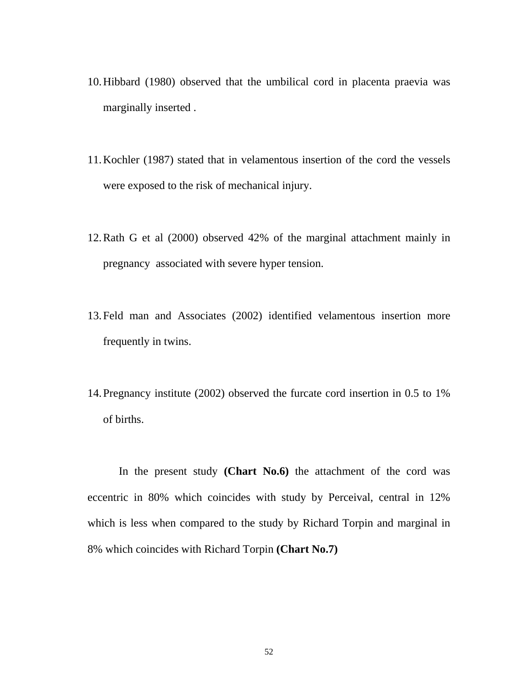- 10.Hibbard (1980) observed that the umbilical cord in placenta praevia was marginally inserted .
- 11.Kochler (1987) stated that in velamentous insertion of the cord the vessels were exposed to the risk of mechanical injury.
- 12.Rath G et al (2000) observed 42% of the marginal attachment mainly in pregnancy associated with severe hyper tension.
- 13.Feld man and Associates (2002) identified velamentous insertion more frequently in twins.
- 14.Pregnancy institute (2002) observed the furcate cord insertion in 0.5 to 1% of births.

In the present study **(Chart No.6)** the attachment of the cord was eccentric in 80% which coincides with study by Perceival, central in 12% which is less when compared to the study by Richard Torpin and marginal in 8% which coincides with Richard Torpin **(Chart No.7)**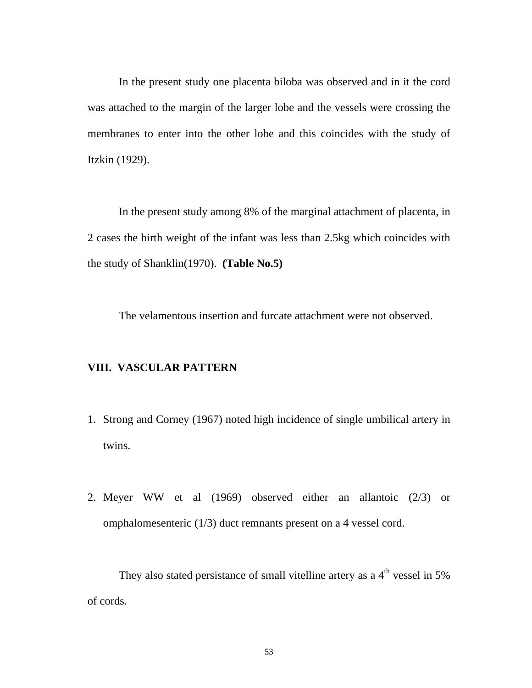In the present study one placenta biloba was observed and in it the cord was attached to the margin of the larger lobe and the vessels were crossing the membranes to enter into the other lobe and this coincides with the study of Itzkin (1929).

 In the present study among 8% of the marginal attachment of placenta, in 2 cases the birth weight of the infant was less than 2.5kg which coincides with the study of Shanklin(1970). **(Table No.5)**

The velamentous insertion and furcate attachment were not observed.

### **VIII. VASCULAR PATTERN**

- 1. Strong and Corney (1967) noted high incidence of single umbilical artery in twins.
- 2. Meyer WW et al (1969) observed either an allantoic (2/3) or omphalomesenteric (1/3) duct remnants present on a 4 vessel cord.

They also stated persistance of small vitelline artery as a  $4<sup>th</sup>$  vessel in 5% of cords.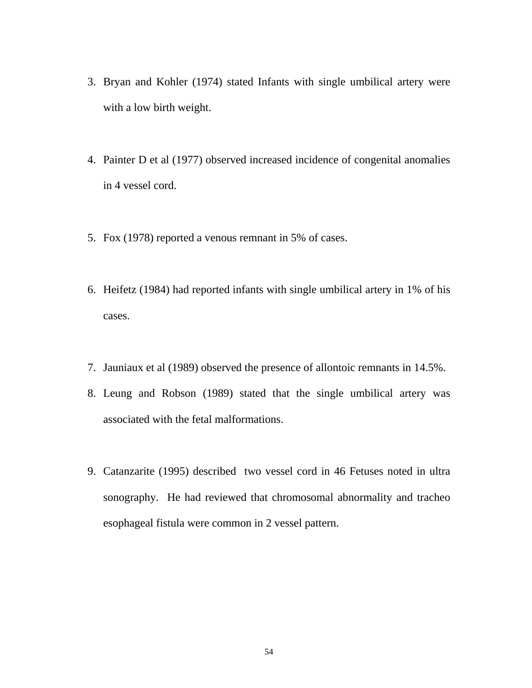- 3. Bryan and Kohler (1974) stated Infants with single umbilical artery were with a low birth weight.
- 4. Painter D et al (1977) observed increased incidence of congenital anomalies in 4 vessel cord.
- 5. Fox (1978) reported a venous remnant in 5% of cases.
- 6. Heifetz (1984) had reported infants with single umbilical artery in 1% of his cases.
- 7. Jauniaux et al (1989) observed the presence of allontoic remnants in 14.5%.
- 8. Leung and Robson (1989) stated that the single umbilical artery was associated with the fetal malformations.
- 9. Catanzarite (1995) described two vessel cord in 46 Fetuses noted in ultra sonography. He had reviewed that chromosomal abnormality and tracheo esophageal fistula were common in 2 vessel pattern.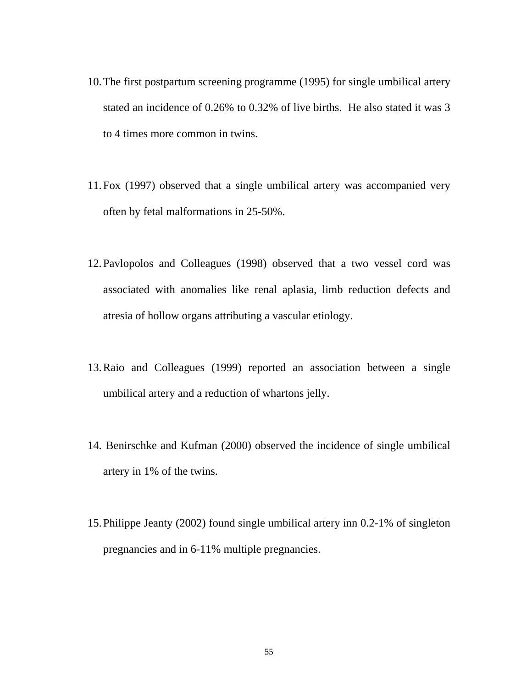- 10.The first postpartum screening programme (1995) for single umbilical artery stated an incidence of 0.26% to 0.32% of live births. He also stated it was 3 to 4 times more common in twins.
- 11.Fox (1997) observed that a single umbilical artery was accompanied very often by fetal malformations in 25-50%.
- 12.Pavlopolos and Colleagues (1998) observed that a two vessel cord was associated with anomalies like renal aplasia, limb reduction defects and atresia of hollow organs attributing a vascular etiology.
- 13.Raio and Colleagues (1999) reported an association between a single umbilical artery and a reduction of whartons jelly.
- 14. Benirschke and Kufman (2000) observed the incidence of single umbilical artery in 1% of the twins.
- 15.Philippe Jeanty (2002) found single umbilical artery inn 0.2-1% of singleton pregnancies and in 6-11% multiple pregnancies.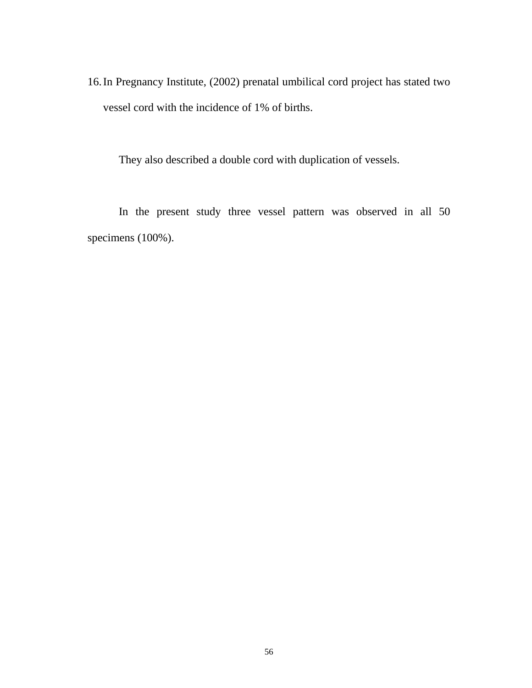16.In Pregnancy Institute, (2002) prenatal umbilical cord project has stated two vessel cord with the incidence of 1% of births.

They also described a double cord with duplication of vessels.

In the present study three vessel pattern was observed in all 50 specimens (100%).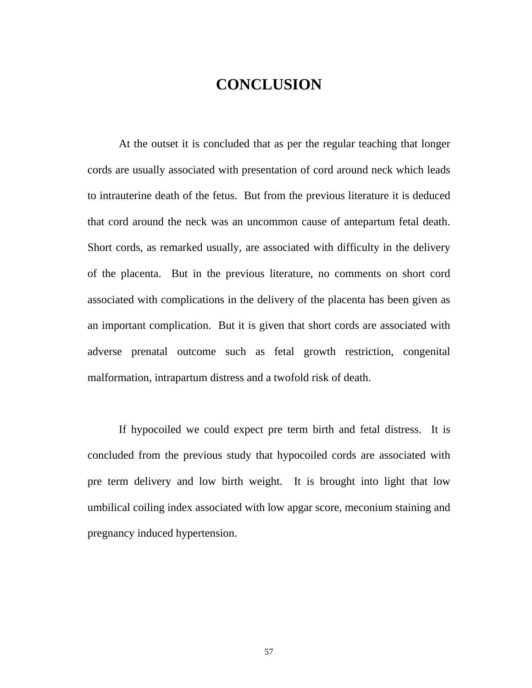# **CONCLUSION**

 At the outset it is concluded that as per the regular teaching that longer cords are usually associated with presentation of cord around neck which leads to intrauterine death of the fetus. But from the previous literature it is deduced that cord around the neck was an uncommon cause of antepartum fetal death. Short cords, as remarked usually, are associated with difficulty in the delivery of the placenta. But in the previous literature, no comments on short cord associated with complications in the delivery of the placenta has been given as an important complication. But it is given that short cords are associated with adverse prenatal outcome such as fetal growth restriction, congenital malformation, intrapartum distress and a twofold risk of death.

 If hypocoiled we could expect pre term birth and fetal distress. It is concluded from the previous study that hypocoiled cords are associated with pre term delivery and low birth weight. It is brought into light that low umbilical coiling index associated with low apgar score, meconium staining and pregnancy induced hypertension.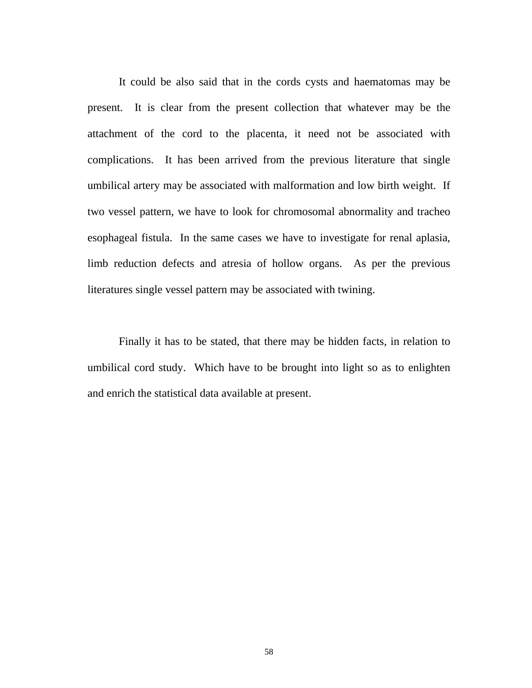It could be also said that in the cords cysts and haematomas may be present. It is clear from the present collection that whatever may be the attachment of the cord to the placenta, it need not be associated with complications. It has been arrived from the previous literature that single umbilical artery may be associated with malformation and low birth weight. If two vessel pattern, we have to look for chromosomal abnormality and tracheo esophageal fistula. In the same cases we have to investigate for renal aplasia, limb reduction defects and atresia of hollow organs. As per the previous literatures single vessel pattern may be associated with twining.

Finally it has to be stated, that there may be hidden facts, in relation to umbilical cord study. Which have to be brought into light so as to enlighten and enrich the statistical data available at present.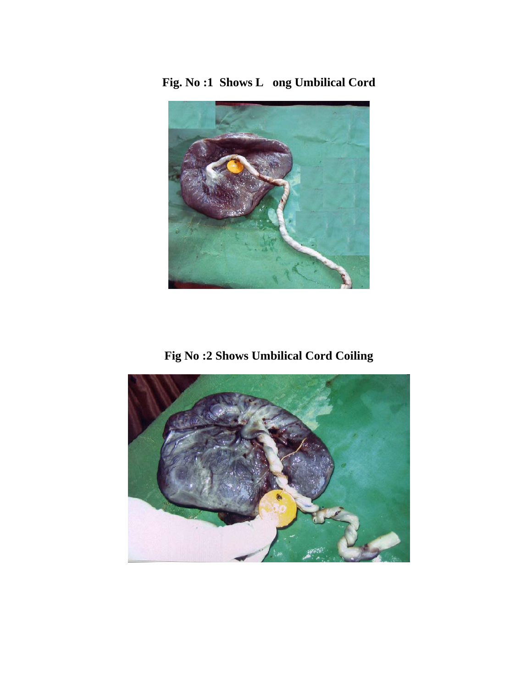**Fig. No :1 Shows L ong Umbilical Cord** 



**Fig No :2 Shows Umbilical Cord Coiling** 

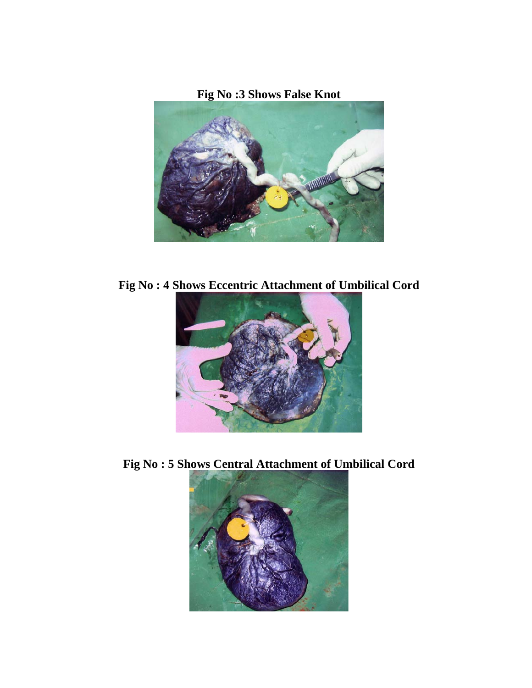**Fig No :3 Shows False Knot** 



**Fig No : 4 Shows Eccentric Attachment of Umbilical Cord** 



**Fig No : 5 Shows Central Attachment of Umbilical Cord** 

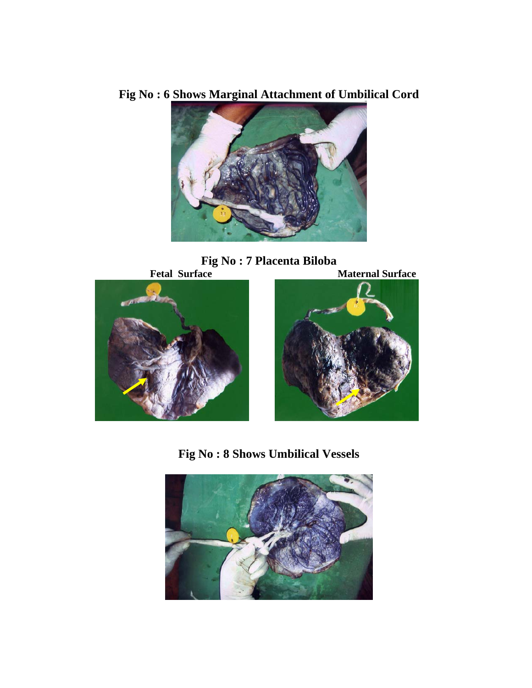**Fig No : 6 Shows Marginal Attachment of Umbilical Cord** 



**Fig No : 7 Placenta Biloba**<br>**Fetal Surface** 





**Fig No : 8 Shows Umbilical Vessels** 

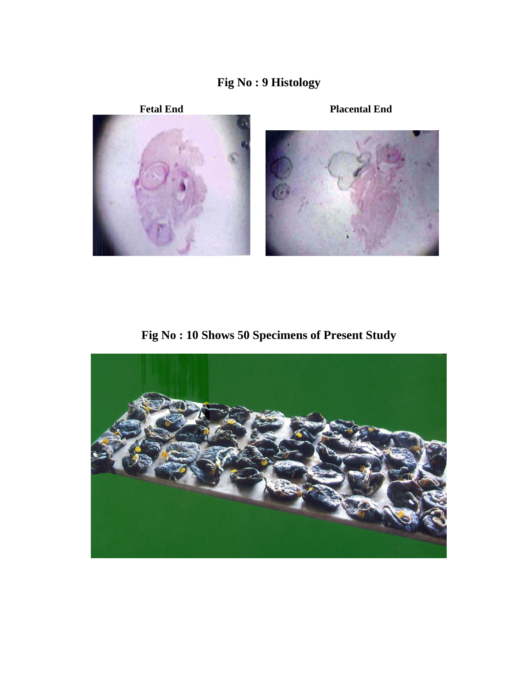



**Fig No : 10 Shows 50 Specimens of Present Study** 

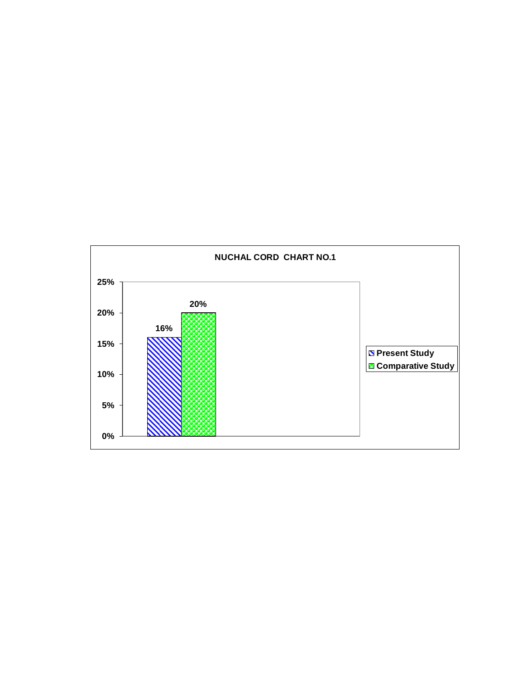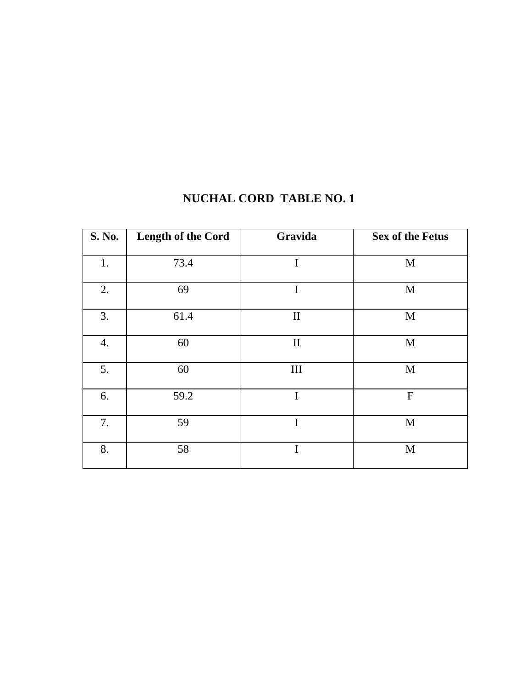| <b>S. No.</b> | Length of the Cord | Gravida      | <b>Sex of the Fetus</b> |
|---------------|--------------------|--------------|-------------------------|
| 1.            | 73.4               | $\mathbf I$  | M                       |
| 2.            | 69                 | $\mathbf I$  | M                       |
| 3.            | 61.4               | $\rm II$     | M                       |
| 4.            | 60                 | $\mathbf{I}$ | M                       |
| 5.            | 60                 | III          | M                       |
| 6.            | 59.2               | $\mathbf I$  | $\mathbf F$             |
| 7.            | 59                 | $\mathbf I$  | M                       |
| 8.            | 58                 | $\mathbf I$  | M                       |

# **NUCHAL CORD TABLE NO. 1**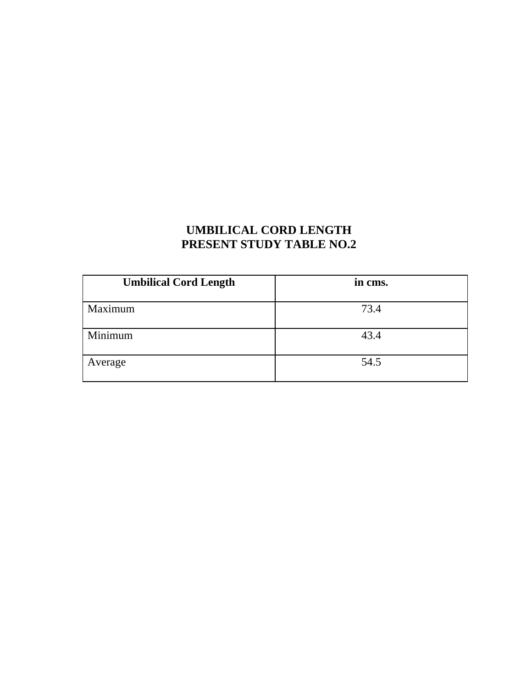# **UMBILICAL CORD LENGTH PRESENT STUDY TABLE NO.2**

| <b>Umbilical Cord Length</b> | in cms. |
|------------------------------|---------|
| Maximum                      | 73.4    |
| Minimum                      | 43.4    |
| Average                      | 54.5    |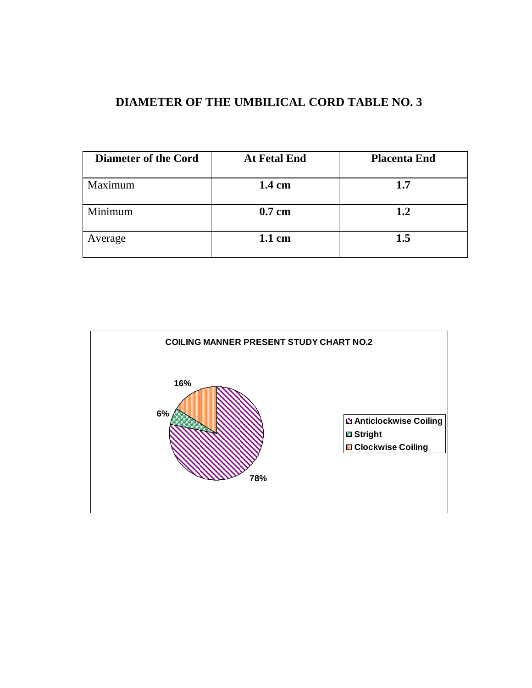# **DIAMETER OF THE UMBILICAL CORD TABLE NO. 3**

| <b>Diameter of the Cord</b> | <b>At Fetal End</b> | <b>Placenta End</b> |
|-----------------------------|---------------------|---------------------|
| Maximum                     | 1.4 cm              | 1.7                 |
| Minimum                     | $0.7$ cm            | 1.2                 |
| Average                     | 1.1 cm              | 1.5                 |

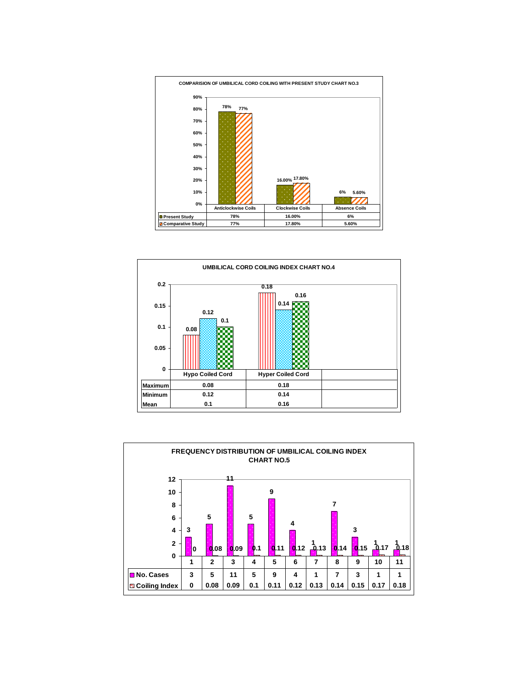



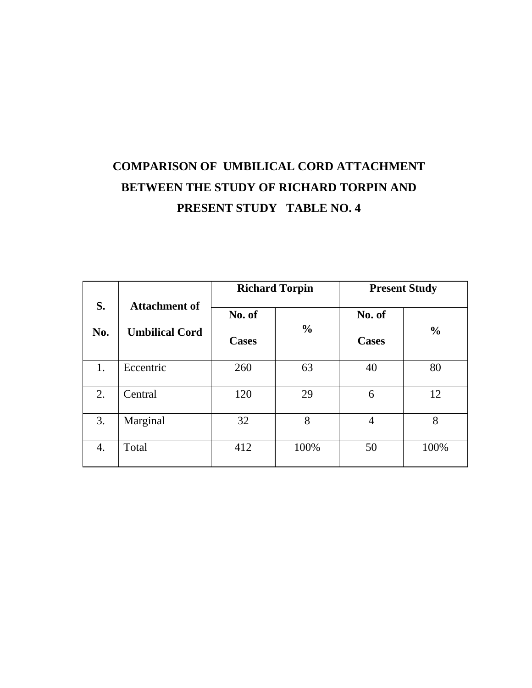# **COMPARISON OF UMBILICAL CORD ATTACHMENT BETWEEN THE STUDY OF RICHARD TORPIN AND PRESENT STUDY TABLE NO. 4**

|           |                                               | <b>Richard Torpin</b>  |               | <b>Present Study</b>   |               |  |
|-----------|-----------------------------------------------|------------------------|---------------|------------------------|---------------|--|
| S.<br>No. | <b>Attachment of</b><br><b>Umbilical Cord</b> | No. of<br><b>Cases</b> | $\frac{0}{0}$ | No. of<br><b>Cases</b> | $\frac{0}{0}$ |  |
| 1.        | Eccentric                                     | 260                    | 63            | 40                     | 80            |  |
| 2.        | Central                                       | 120                    | 29            | 6                      | 12            |  |
| 3.        | Marginal                                      | 32                     | 8             | $\overline{4}$         | 8             |  |
| 4.        | Total                                         | 412                    | 100%          | 50                     | 100%          |  |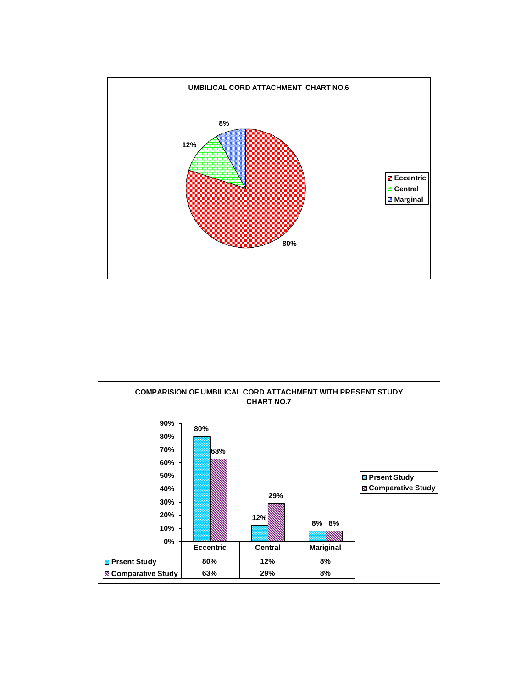

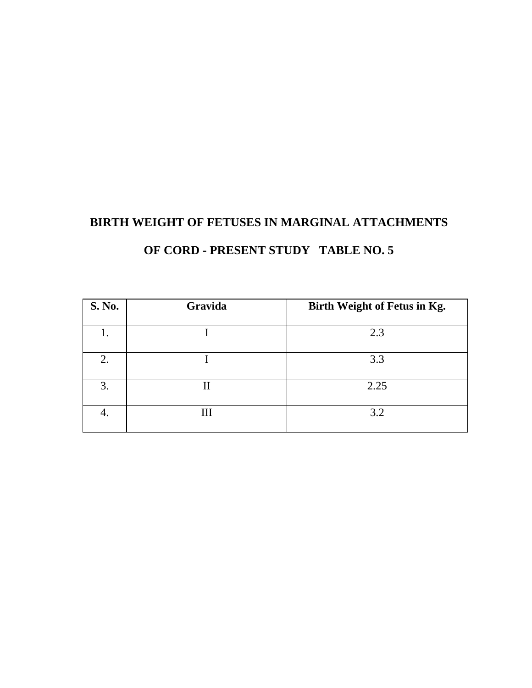## **BIRTH WEIGHT OF FETUSES IN MARGINAL ATTACHMENTS**

**OF CORD - PRESENT STUDY TABLE NO. 5** 

| <b>S. No.</b> | Gravida | Birth Weight of Fetus in Kg. |
|---------------|---------|------------------------------|
|               |         | 2.3                          |
| 2.            |         | 3.3                          |
| 3.            | II      | 2.25                         |
| 4.            | Ш       | 3.2                          |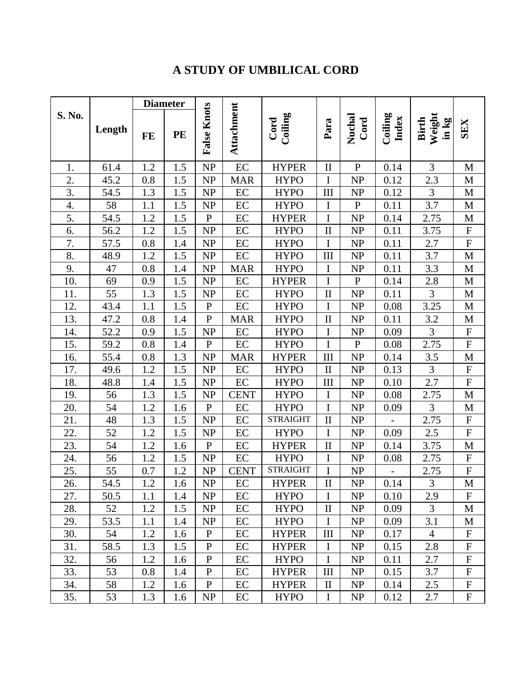# **A STUDY OF UMBILICAL CORD**

|        |        |         | <b>Diameter</b> |                    |             |                 |                                 |                |                  |                                 |                           |
|--------|--------|---------|-----------------|--------------------|-------------|-----------------|---------------------------------|----------------|------------------|---------------------------------|---------------------------|
| S. No. | Length | FE      | PE              | <b>False Knots</b> | Attachment  | Coiling<br>Cord | Para                            | Nuchal<br>Cord | Coiling<br>Index | Weight<br><b>Birth</b><br>in kg | <b>SEX</b>                |
| 1.     | 61.4   | 1.2     | 1.5             | NP                 | EC          | <b>HYPER</b>    | $\mathbf{I}$                    | ${\bf P}$      | 0.14             | 3                               | M                         |
| 2.     | 45.2   | 0.8     | 1.5             | <b>NP</b>          | <b>MAR</b>  | <b>HYPO</b>     | $\bf I$                         | NP             | 0.12             | 2.3                             | $\mathbf M$               |
| 3.     | 54.5   | 1.3     | 1.5             | NP                 | EC          | <b>HYPO</b>     | III                             | NP             | 0.12             | $\mathfrak{Z}$                  | $\mathbf M$               |
| 4.     | 58     | 1.1     | 1.5             | NP                 | $\rm EC$    | <b>HYPO</b>     | $\bf I$                         | ${\bf P}$      | 0.11             | 3.7                             | $\mathbf M$               |
| 5.     | 54.5   | 1.2     | 1.5             | $\mathbf{P}$       | EC          | <b>HYPER</b>    | I                               | <b>NP</b>      | 0.14             | 2.75                            | $\mathbf M$               |
| 6.     | 56.2   | 1.2     | 1.5             | <b>NP</b>          | $\rm EC$    | <b>HYPO</b>     | $\rm II$                        | <b>NP</b>      | 0.11             | 3.75                            | ${\bf F}$                 |
| 7.     | 57.5   | 0.8     | 1.4             | NP                 | $\rm EC$    | <b>HYPO</b>     | $\rm I$                         | NP             | 0.11             | 2.7                             | ${\bf F}$                 |
| 8.     | 48.9   | 1.2     | 1.5             | NP                 | $\rm EC$    | <b>HYPO</b>     | III                             | NP             | 0.11             | 3.7                             | $\mathbf M$               |
| 9.     | 47     | $0.8\,$ | 1.4             | NP                 | <b>MAR</b>  | <b>HYPO</b>     | $\mathbf I$                     | NP             | 0.11             | 3.3                             | $\mathbf M$               |
| 10.    | 69     | 0.9     | 1.5             | NP                 | EC          | <b>HYPER</b>    | I                               | $\mathbf{P}$   | 0.14             | 2.8                             | M                         |
| 11.    | 55     | 1.3     | 1.5             | NP                 | $\rm EC$    | <b>HYPO</b>     | $\rm II$                        | NP             | 0.11             | $\overline{3}$                  | $\mathbf M$               |
| 12.    | 43.4   | 1.1     | 1.5             | ${\bf P}$          | EC          | <b>HYPO</b>     | $\mathbf I$                     | NP             | 0.08             | 3.25                            | $\mathbf M$               |
| 13.    | 47.2   | 0.8     | 1.4             | ${\bf P}$          | <b>MAR</b>  | <b>HYPO</b>     | $\rm II$                        | NP             | 0.11             | 3.2                             | $\mathbf M$               |
| 14.    | 52.2   | 0.9     | 1.5             | NP                 | EC          | <b>HYPO</b>     | $\mathbf I$                     | NP             | 0.09             | $\overline{3}$                  | ${\bf F}$                 |
| 15.    | 59.2   | 0.8     | 1.4             | ${\bf P}$          | EC          | <b>HYPO</b>     | $\mathbf I$                     | ${\bf P}$      | 0.08             | 2.75                            | ${\bf F}$                 |
| 16.    | 55.4   | 0.8     | 1.3             | NP                 | <b>MAR</b>  | <b>HYPER</b>    | III                             | NP             | 0.14             | $3.5\,$                         | $\mathbf M$               |
| 17.    | 49.6   | 1.2     | 1.5             | NP                 | EC          | <b>HYPO</b>     | $\mathbf{I}$                    | NP             | 0.13             | $\overline{3}$                  | ${\bf F}$                 |
| 18.    | 48.8   | 1.4     | 1.5             | NP                 | EC          | <b>HYPO</b>     | III                             | NP             | 0.10             | 2.7                             | $\overline{\mathrm{F}}$   |
| 19.    | 56     | 1.3     | 1.5             | NP                 | <b>CENT</b> | <b>HYPO</b>     | $\bf I$                         | NP             | 0.08             | 2.75                            | $\mathbf M$               |
| 20.    | 54     | 1.2     | 1.6             | ${\bf P}$          | EC          | <b>HYPO</b>     | $\mathbf I$                     | NP             | 0.09             | 3                               | $\mathbf M$               |
| 21.    | 48     | 1.3     | 1.5             | NP                 | $\rm EC$    | <b>STRAIGHT</b> | $\mathbf{I}$                    | NP             | $\overline{a}$   | 2.75                            | ${\bf F}$                 |
| 22.    | 52     | 1.2     | 1.5             | NP                 | EC          | <b>HYPO</b>     | $\mathbf I$                     | NP             | 0.09             | 2.5                             | ${\bf F}$                 |
| 23.    | 54     | 1.2     | 1.6             | $\overline{P}$     | $\rm EC$    | <b>HYPER</b>    | $\rm II$                        | NP             | 0.14             | 3.75                            | $\mathbf M$               |
| 24.    | 56     | 1.2     | 1.5             | NP                 | EC          | <b>HYPO</b>     | I                               | NP             | 0.08             | 2.75                            | ${\bf F}$                 |
| 25.    | 55     | 0.7     | 1.2             | NP                 | <b>CENT</b> | <b>STRAIGHT</b> | $\mathbf I$                     | NP             |                  | 2.75                            | $\boldsymbol{\mathrm{F}}$ |
| 26.    | 54.5   | 1.2     | 1.6             | NP                 | EC          | <b>HYPER</b>    | $\mathbf{I}$                    | NP             | 0.14             | 3                               | $\mathbf M$               |
| 27.    | 50.5   | 1.1     | 1.4             | <b>NP</b>          | EC          | <b>HYPO</b>     | $\mathbf I$                     | N <sub>P</sub> | 0.10             | 2.9                             | $\mathbf F$               |
| 28.    | 52     | 1.2     | 1.5             | <b>NP</b>          | EC          | <b>HYPO</b>     | $\mathbf{I}$                    | N <sub>P</sub> | 0.09             | 3                               | M                         |
| 29.    | 53.5   | 1.1     | 1.4             | <b>NP</b>          | EC          | <b>HYPO</b>     | $\bf{I}$                        | NP             | 0.09             | 3.1                             | M                         |
| 30.    | 54     | 1.2     | 1.6             | $\mathbf{P}$       | EC          | <b>HYPER</b>    | Ш                               | NP             | 0.17             | $\overline{4}$                  | $\boldsymbol{\mathrm{F}}$ |
| 31.    | 58.5   | 1.3     | 1.5             | ${\bf P}$          | EC          | <b>HYPER</b>    | I                               | NP             | 0.15             | 2.8                             | $\boldsymbol{F}$          |
| 32.    | 56     | 1.2     | 1.6             | $\mathbf{P}$       | EC          | <b>HYPO</b>     | $\mathbf I$                     | NP             | 0.11             | 2.7                             | ${\bf F}$                 |
| 33.    | 53     | 0.8     | 1.4             | $\mathbf{P}$       | EC          | <b>HYPER</b>    | Ш                               | NP             | 0.15             | 3.7                             | $\boldsymbol{F}$          |
| 34.    | 58     | 1.2     | 1.6             | ${\bf P}$          | EC          | <b>HYPER</b>    | $\mathop{\mathrm{II}}\nolimits$ | NP             | 0.14             | 2.5                             | ${\bf F}$                 |
| 35.    | 53     | 1.3     | 1.6             | NP                 | EC          | <b>HYPO</b>     | $\bf{I}$                        | NP             | 0.12             | 2.7                             | $\boldsymbol{\mathrm{F}}$ |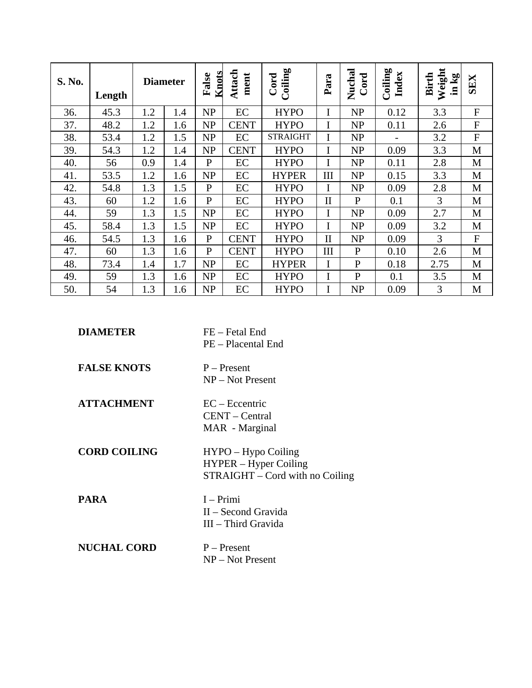| S. No. | Length |     | <b>Diameter</b> | <b>Knots</b><br>False | Attach<br>ment | Coiling<br>Cord | Para         | Nuchal<br>Cord | Coiling<br>Index | Weight<br><b>Birth</b><br>in kg | <b>SEX</b>     |
|--------|--------|-----|-----------------|-----------------------|----------------|-----------------|--------------|----------------|------------------|---------------------------------|----------------|
| 36.    | 45.3   | 1.2 | 1.4             | <b>NP</b>             | EC             | <b>HYPO</b>     |              | NP             | 0.12             | 3.3                             | $\overline{F}$ |
| 37.    | 48.2   | 1.2 | 1.6             | <b>NP</b>             | <b>CENT</b>    | <b>HYPO</b>     | Ī            | NP             | 0.11             | 2.6                             | $\mathbf F$    |
| 38.    | 53.4   | 1.2 | 1.5             | <b>NP</b>             | EC             | <b>STRAIGHT</b> |              | NP             |                  | 3.2                             | $\overline{F}$ |
| 39.    | 54.3   | 1.2 | 1.4             | <b>NP</b>             | <b>CENT</b>    | <b>HYPO</b>     | I            | NP             | 0.09             | 3.3                             | M              |
| 40.    | 56     | 0.9 | 1.4             | $\mathbf{P}$          | EC             | <b>HYPO</b>     |              | NP             | 0.11             | 2.8                             | M              |
| 41.    | 53.5   | 1.2 | 1.6             | <b>NP</b>             | EC             | <b>HYPER</b>    | III          | <b>NP</b>      | 0.15             | 3.3                             | M              |
| 42.    | 54.8   | 1.3 | 1.5             | $\mathbf{P}$          | EC             | <b>HYPO</b>     |              | <b>NP</b>      | 0.09             | 2.8                             | M              |
| 43.    | 60     | 1.2 | 1.6             | $\mathbf{P}$          | EC             | <b>HYPO</b>     | $\mathbf{I}$ | $\mathbf{P}$   | 0.1              | 3                               | M              |
| 44.    | 59     | 1.3 | 1.5             | <b>NP</b>             | EC             | <b>HYPO</b>     | I            | NP             | 0.09             | 2.7                             | M              |
| 45.    | 58.4   | 1.3 | 1.5             | <b>NP</b>             | EC             | <b>HYPO</b>     |              | NP             | 0.09             | 3.2                             | M              |
| 46.    | 54.5   | 1.3 | 1.6             | $\mathbf{P}$          | <b>CENT</b>    | <b>HYPO</b>     | $\Pi$        | <b>NP</b>      | 0.09             | 3                               | $\mathbf{F}$   |
| 47.    | 60     | 1.3 | 1.6             | $\mathbf{P}$          | <b>CENT</b>    | <b>HYPO</b>     | III          | $\mathbf{P}$   | 0.10             | 2.6                             | M              |
| 48.    | 73.4   | 1.4 | 1.7             | <b>NP</b>             | EC             | <b>HYPER</b>    | I            | $\mathbf{P}$   | 0.18             | 2.75                            | M              |
| 49.    | 59     | 1.3 | 1.6             | <b>NP</b>             | EC             | <b>HYPO</b>     |              | $\mathbf{P}$   | 0.1              | 3.5                             | M              |
| 50.    | 54     | 1.3 | 1.6             | <b>NP</b>             | EC             | <b>HYPO</b>     |              | <b>NP</b>      | 0.09             | 3                               | M              |

| <b>DIAMETER</b>     | FE – Fetal End<br>PE - Placental End                                             |
|---------------------|----------------------------------------------------------------------------------|
| <b>FALSE KNOTS</b>  | $P -$ Present<br>$NP - Not Present$                                              |
| <b>ATTACHMENT</b>   | $EC - Eccentric$<br>CENT – Central<br>MAR - Marginal                             |
| <b>CORD COILING</b> | $HYPO-Hypo\ Coiling$<br>HYPER – Hyper Coiling<br>STRAIGHT – Cord with no Coiling |
| <b>PARA</b>         | $I - Primi$<br>II – Second Gravida<br>III – Third Gravida                        |
| <b>NUCHAL CORD</b>  | $P -$ Present<br>$NP - Not Present$                                              |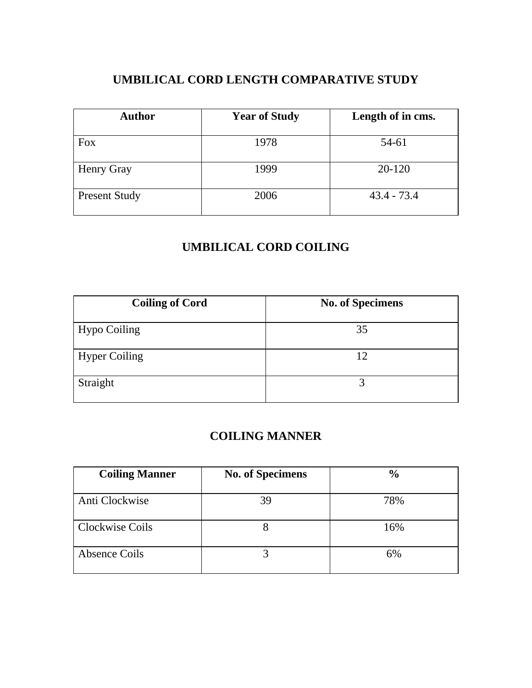# **UMBILICAL CORD LENGTH COMPARATIVE STUDY**

| <b>Author</b>        | <b>Year of Study</b> | Length of in cms. |
|----------------------|----------------------|-------------------|
| <b>Fox</b>           | 1978                 | 54-61             |
| Henry Gray           | 1999                 | 20-120            |
| <b>Present Study</b> | 2006                 | $43.4 - 73.4$     |

## **UMBILICAL CORD COILING**

| <b>Coiling of Cord</b> | <b>No. of Specimens</b> |
|------------------------|-------------------------|
| <b>Hypo Coiling</b>    | 35                      |
| <b>Hyper Coiling</b>   | 12                      |
| Straight               | 3                       |

## **COILING MANNER**

| <b>Coiling Manner</b> | <b>No. of Specimens</b> | $\frac{0}{0}$ |
|-----------------------|-------------------------|---------------|
| Anti Clockwise        | 39                      | 78%           |
| Clockwise Coils       |                         | 16%           |
| Absence Coils         |                         | 6%            |